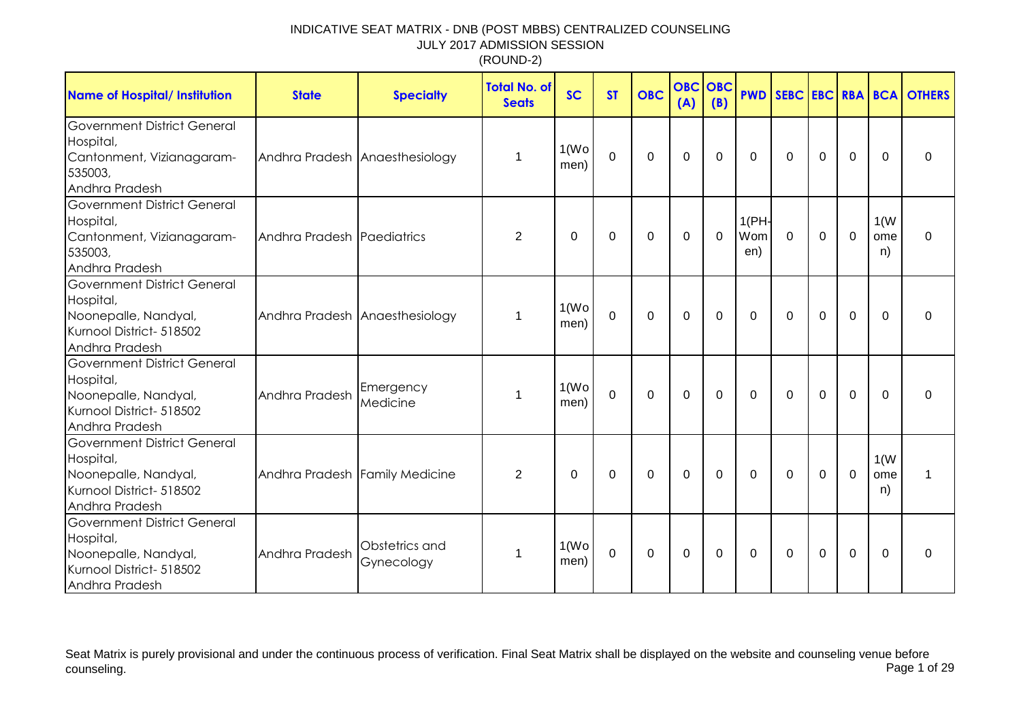| <b>Name of Hospital/ Institution</b>                                                                                  | <b>State</b>                   | <b>Specialty</b>             | <b>Total No. of</b><br><b>Seats</b> | <b>SC</b>                  | <b>ST</b>   | <b>OBC</b>  | <b>OBC</b><br>(A) | OBC<br>(B) |                     |              |          |                |                   | <b>PWD SEBC EBC RBA BCA OTHERS</b> |
|-----------------------------------------------------------------------------------------------------------------------|--------------------------------|------------------------------|-------------------------------------|----------------------------|-------------|-------------|-------------------|------------|---------------------|--------------|----------|----------------|-------------------|------------------------------------|
| <b>Government District General</b><br>Hospital,<br>Cantonment, Vizianagaram-<br>535003,<br>Andhra Pradesh             | Andhra Pradesh Anaesthesiology |                              | 1                                   | 1(W <sub>O</sub> )<br>men) | 0           | $\mathbf 0$ | 0                 | 0          | $\Omega$            | $\Omega$     | 0        | 0              | $\Omega$          | 0                                  |
| <b>Government District General</b><br>Hospital,<br>Cantonment, Vizianagaram-<br>535003,<br>Andhra Pradesh             | Andhra Pradesh Paediatrics     |                              | 2                                   | 0                          | 0           | $\Omega$    | $\Omega$          | $\Omega$   | 1(PH)<br>Wom<br>en) | $\mathbf{0}$ | $\Omega$ | $\mathbf 0$    | 1(W)<br>ome<br>n) | $\Omega$                           |
| <b>Government District General</b><br>Hospital,<br>Noonepalle, Nandyal,<br>Kurnool District- 518502<br>Andhra Pradesh | Andhra Pradesh Anaesthesiology |                              | 1                                   | 1(W <sub>O</sub> )<br>men) | $\mathbf 0$ | $\mathbf 0$ | $\mathbf 0$       | 0          | 0                   | $\mathbf{0}$ | 0        | $\mathbf 0$    | $\Omega$          | 0                                  |
| <b>Government District General</b><br>Hospital,<br>Noonepalle, Nandyal,<br>Kurnool District- 518502<br>Andhra Pradesh | Andhra Pradesh                 | Emergency<br>Medicine        | 1                                   | 1(W <sub>O</sub> )<br>men) | $\mathbf 0$ | $\mathbf 0$ | 0                 | 0          | $\Omega$            | $\Omega$     | $\Omega$ | $\overline{0}$ | $\Omega$          | $\Omega$                           |
| <b>Government District General</b><br>Hospital,<br>Noonepalle, Nandyal,<br>Kurnool District- 518502<br>Andhra Pradesh | Andhra Pradesh Family Medicine |                              | 2                                   | 0                          | 0           | $\Omega$    | $\Omega$          | $\Omega$   | $\mathbf{0}$        | $\mathbf{0}$ | $\Omega$ | $\mathbf 0$    | 1(W)<br>ome<br>n) | 1                                  |
| <b>Government District General</b><br>Hospital,<br>Noonepalle, Nandyal,<br>Kurnool District- 518502<br>Andhra Pradesh | Andhra Pradesh                 | Obstetrics and<br>Gynecology | 1                                   | 1(W <sub>O</sub> )<br>men) | $\mathbf 0$ | $\mathbf 0$ | $\pmb{0}$         | 0          | 0                   | $\mathbf{0}$ | 0        | $\mathbf 0$    | $\Omega$          | 0                                  |

Seat Matrix is purely provisional and under the continuous process of verification. Final Seat Matrix shall be displayed on the website and counseling venue before<br>Page 1 of 29 counseling. Page 1 of 29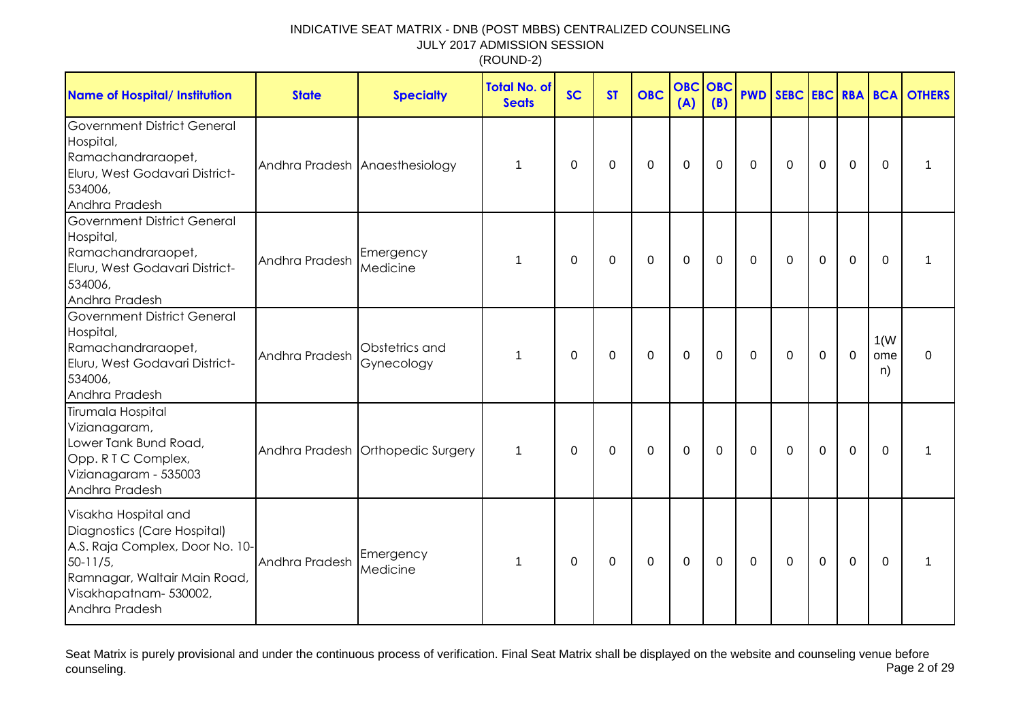| <b>Name of Hospital/ Institution</b>                                                                                                                                              | <b>State</b>                   | <b>Specialty</b>                  | <b>Total No. of</b><br><b>Seats</b> | <b>SC</b>   | <b>ST</b> | <b>OBC</b> | <b>OBC</b><br>(A) | OBC<br>(B)  |              |              |             |             |                   | <b>PWD SEBC EBC RBA BCA OTHERS</b> |
|-----------------------------------------------------------------------------------------------------------------------------------------------------------------------------------|--------------------------------|-----------------------------------|-------------------------------------|-------------|-----------|------------|-------------------|-------------|--------------|--------------|-------------|-------------|-------------------|------------------------------------|
| Government District General<br>Hospital,<br>Ramachandraraopet,<br>Eluru, West Godavari District-<br>534006,<br>Andhra Pradesh                                                     | Andhra Pradesh Anaesthesiology |                                   | 1                                   | 0           | 0         | 0          | $\mathbf 0$       | 0           | $\mathbf 0$  | $\mathbf 0$  | $\mathbf 0$ | $\mathbf 0$ | $\Omega$          | 1                                  |
| <b>Government District General</b><br>Hospital,<br>Ramachandraraopet,<br>Eluru, West Godavari District-<br>534006,<br>Andhra Pradesh                                              | Andhra Pradesh                 | Emergency<br>Medicine             | 1                                   | $\mathbf 0$ | 0         | 0          | $\mathbf 0$       | $\mathbf 0$ | 0            | 0            | 0           | 0           | 0                 | 1                                  |
| <b>Government District General</b><br>Hospital,<br>Ramachandraraopet,<br>Eluru, West Godavari District-<br>534006,<br>Andhra Pradesh                                              | Andhra Pradesh                 | Obstetrics and<br>Gynecology      | 1                                   | 0           | 0         | 0          | $\mathbf 0$       | $\Omega$    | $\mathbf{0}$ | $\mathbf{0}$ | 0           | $\mathbf 0$ | 1(W)<br>ome<br>n) | $\Omega$                           |
| Tirumala Hospital<br>Vizianagaram,<br>Lower Tank Bund Road,<br>Opp. R T C Complex,<br>Vizianagaram - 535003<br>Andhra Pradesh                                                     |                                | Andhra Pradesh Orthopedic Surgery | 1                                   | 0           | $\Omega$  | $\Omega$   | $\mathbf{0}$      | $\Omega$    | $\mathbf{0}$ | $\mathbf{0}$ | $\Omega$    | $\Omega$    | $\Omega$          | 1                                  |
| Visakha Hospital and<br>Diagnostics (Care Hospital)<br>A.S. Raja Complex, Door No. 10-<br>$50 - 11/5$<br>Ramnagar, Waltair Main Road,<br>Visakhapatnam- 530002,<br>Andhra Pradesh | Andhra Pradesh                 | Emergency<br>Medicine             | 1                                   | 0           | 0         | $\Omega$   | $\mathbf{0}$      | $\Omega$    | $\mathbf{0}$ | $\Omega$     | $\Omega$    | $\Omega$    | $\Omega$          | 1                                  |

Seat Matrix is purely provisional and under the continuous process of verification. Final Seat Matrix shall be displayed on the website and counseling venue before<br>Page 2 of 29 counseling. Page 2 of 29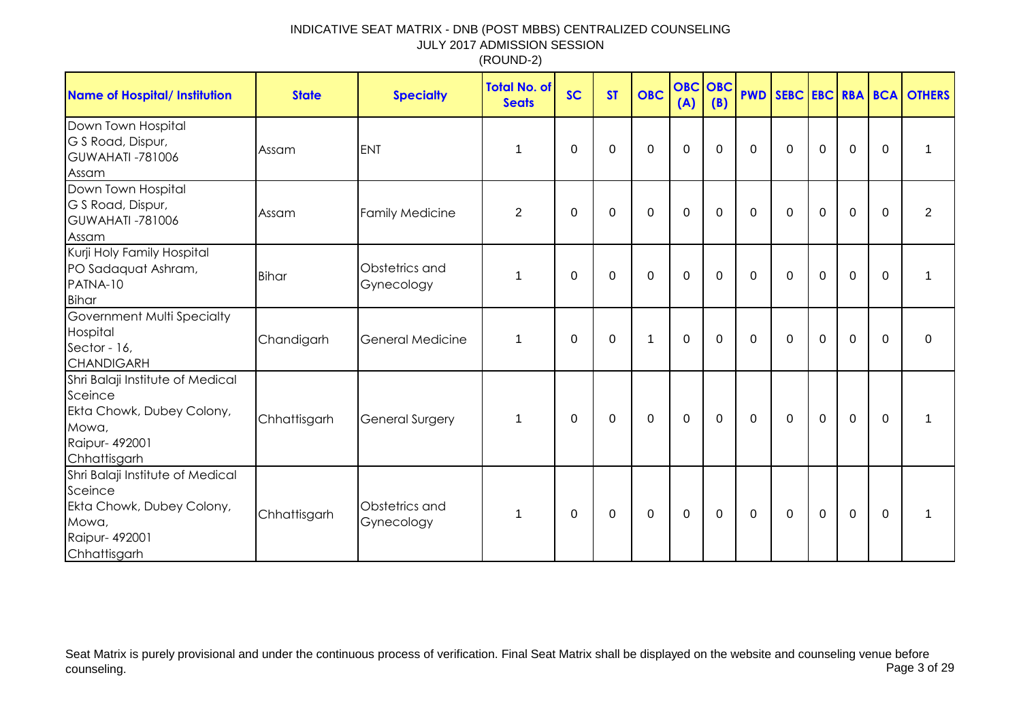| Name of Hospital/ Institution                                                                                       | <b>State</b> | <b>Specialty</b>             | <b>Total No. of</b><br><b>Seats</b> | <b>SC</b> | <b>ST</b> | <b>OBC</b>  | <b>OBC</b> OBC<br>(A) | (B)         |              |              |             |              |                | <b>PWD SEBC EBC RBA BCA OTHERS</b> |
|---------------------------------------------------------------------------------------------------------------------|--------------|------------------------------|-------------------------------------|-----------|-----------|-------------|-----------------------|-------------|--------------|--------------|-------------|--------------|----------------|------------------------------------|
| Down Town Hospital<br>G S Road, Dispur,<br><b>GUWAHATI-781006</b><br>Assam                                          | Assam        | <b>ENT</b>                   | 1                                   | 0         | 0         | $\mathbf 0$ | $\mathbf 0$           | $\mathbf 0$ | $\mathbf{0}$ | $\mathbf 0$  | $\mathbf 0$ | $\mathbf 0$  | $\mathbf 0$    | 1                                  |
| Down Town Hospital<br>G S Road, Dispur,<br><b>GUWAHATI -781006</b><br>Assam                                         | Assam        | <b>Family Medicine</b>       | $\overline{2}$                      | 0         | $\Omega$  | $\Omega$    | $\mathbf 0$           | $\Omega$    | $\mathbf{0}$ | $\mathbf{0}$ | $\Omega$    | $\mathbf{0}$ | 0              | 2                                  |
| Kurji Holy Family Hospital<br>PO Sadaquat Ashram,<br>PATNA-10<br>Bihar                                              | <b>Bihar</b> | Obstetrics and<br>Gynecology | 1                                   | 0         | $\Omega$  | 0           | 0                     | $\Omega$    | $\mathbf{0}$ | $\mathbf{0}$ | 0           | 0            | $\Omega$       | 1                                  |
| Government Multi Specialty<br>Hospital<br>Sector - 16,<br><b>CHANDIGARH</b>                                         | Chandigarh   | <b>General Medicine</b>      | 1                                   | 0         | 0         | $\mathbf 1$ | $\mathbf 0$           | $\Omega$    | $\mathbf 0$  | $\mathbf{0}$ | $\mathbf 0$ | $\mathbf 0$  | $\overline{0}$ | $\Omega$                           |
| Shri Balaji Institute of Medical<br>Sceince<br>Ekta Chowk, Dubey Colony,<br>Mowa,<br>Raipur- 492001<br>Chhattisgarh | Chhattisgarh | <b>General Surgery</b>       | 1                                   | 0         | 0         | 0           | $\mathbf 0$           | 0           | 0            | 0            | $\mathbf 0$ | $\mathbf 0$  | $\mathbf 0$    | 1                                  |
| Shri Balaji Institute of Medical<br>Sceince<br>Ekta Chowk, Dubey Colony,<br>Mowa,<br>Raipur- 492001<br>Chhattisgarh | Chhattisgarh | Obstetrics and<br>Gynecology | 1                                   | 0         | 0         | $\mathbf 0$ | $\mathbf 0$           | 0           | $\mathbf 0$  | $\mathbf 0$  | $\mathbf 0$ | $\mathbf 0$  | $\mathbf 0$    |                                    |

Seat Matrix is purely provisional and under the continuous process of verification. Final Seat Matrix shall be displayed on the website and counseling venue before<br>Page 3 of 29 counseling. Page 3 of 29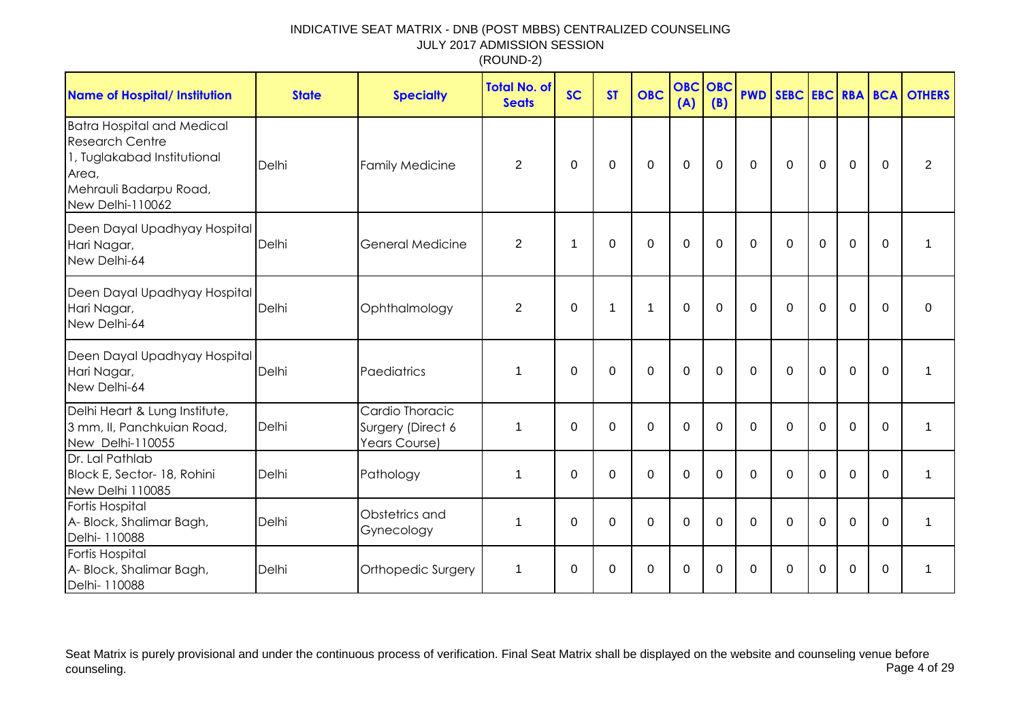| <b>Name of Hospital/ Institution</b>                                                                                                              | <b>State</b> | <b>Specialty</b>                                      | <b>Total No. of</b><br><b>Seats</b> | <b>SC</b> | <b>ST</b>   | <b>OBC</b>     | <b>OBC OBC</b><br>(A) | (B)         | <b>PWD</b>  |             |             |                |             | SEBC EBC RBA BCA OTHERS |
|---------------------------------------------------------------------------------------------------------------------------------------------------|--------------|-------------------------------------------------------|-------------------------------------|-----------|-------------|----------------|-----------------------|-------------|-------------|-------------|-------------|----------------|-------------|-------------------------|
| <b>Batra Hospital and Medical</b><br><b>Research Centre</b><br>1, Tuglakabad Institutional<br>Area,<br>Mehrauli Badarpu Road,<br>New Delhi-110062 | Delhi        | <b>Family Medicine</b>                                | $\overline{2}$                      | 0         | 0           | 0              | $\mathbf 0$           | $\mathbf 0$ | $\mathbf 0$ | $\mathbf 0$ | $\mathbf 0$ | $\overline{0}$ | $\mathbf 0$ | $\overline{2}$          |
| Deen Dayal Upadhyay Hospital<br>Hari Nagar,<br>New Delhi-64                                                                                       | Delhi        | General Medicine                                      | $\overline{2}$                      | 1         | 0           | $\Omega$       | $\mathbf 0$           | $\Omega$    | $\Omega$    | $\Omega$    | $\Omega$    | $\mathbf 0$    | $\mathbf 0$ |                         |
| Deen Dayal Upadhyay Hospital<br>Hari Nagar,<br>New Delhi-64                                                                                       | Delhi        | Ophthalmology                                         | $\overline{2}$                      | 0         | $\mathbf 1$ | $\overline{1}$ | $\mathbf 0$           | $\mathbf 0$ | $\mathbf 0$ | $\mathbf 0$ | $\mathbf 0$ | $\mathbf 0$    | $\Omega$    | $\mathbf 0$             |
| Deen Dayal Upadhyay Hospital<br>Hari Nagar,<br>New Delhi-64                                                                                       | Delhi        | Paediatrics                                           | 1                                   | $\Omega$  | $\Omega$    | $\Omega$       | $\Omega$              | $\Omega$    | $\Omega$    | $\Omega$    | $\Omega$    | $\Omega$       | $\Omega$    |                         |
| Delhi Heart & Lung Institute,<br>3 mm, II, Panchkuian Road,<br>New Delhi-110055                                                                   | Delhi        | Cardio Thoracic<br>Surgery (Direct 6<br>Years Course) | 1                                   | 0         | $\Omega$    | $\mathbf 0$    | $\mathbf 0$           | $\mathbf 0$ | $\Omega$    | $\Omega$    | $\Omega$    | $\mathbf 0$    | $\Omega$    | 1                       |
| Dr. Lal Pathlab<br>Block E, Sector- 18, Rohini<br>New Delhi 110085                                                                                | Delhi        | Pathology                                             | 1                                   | 0         | $\mathbf 0$ | $\mathbf 0$    | $\mathbf 0$           | $\mathbf 0$ | $\mathbf 0$ | $\mathbf 0$ | $\Omega$    | $\mathbf 0$    | $\Omega$    | 1                       |
| Fortis Hospital<br>A- Block, Shalimar Bagh,<br>Delhi- 110088                                                                                      | Delhi        | Obstetrics and<br>Gynecology                          | 1                                   | $\Omega$  | 0           | $\Omega$       | 0                     | $\Omega$    | $\Omega$    | $\Omega$    | $\Omega$    | $\Omega$       | $\Omega$    | 1                       |
| Fortis Hospital<br>A- Block, Shalimar Bagh,<br>Delhi- 110088                                                                                      | Delhi        | Orthopedic Surgery                                    | 1                                   | 0         | 0           | 0              | $\mathbf 0$           | $\Omega$    | $\Omega$    | $\Omega$    | 0           | $\mathbf 0$    | $\Omega$    |                         |

Seat Matrix is purely provisional and under the continuous process of verification. Final Seat Matrix shall be displayed on the website and counseling venue before<br>Page 4 of 29 counseling. Page 4 of 29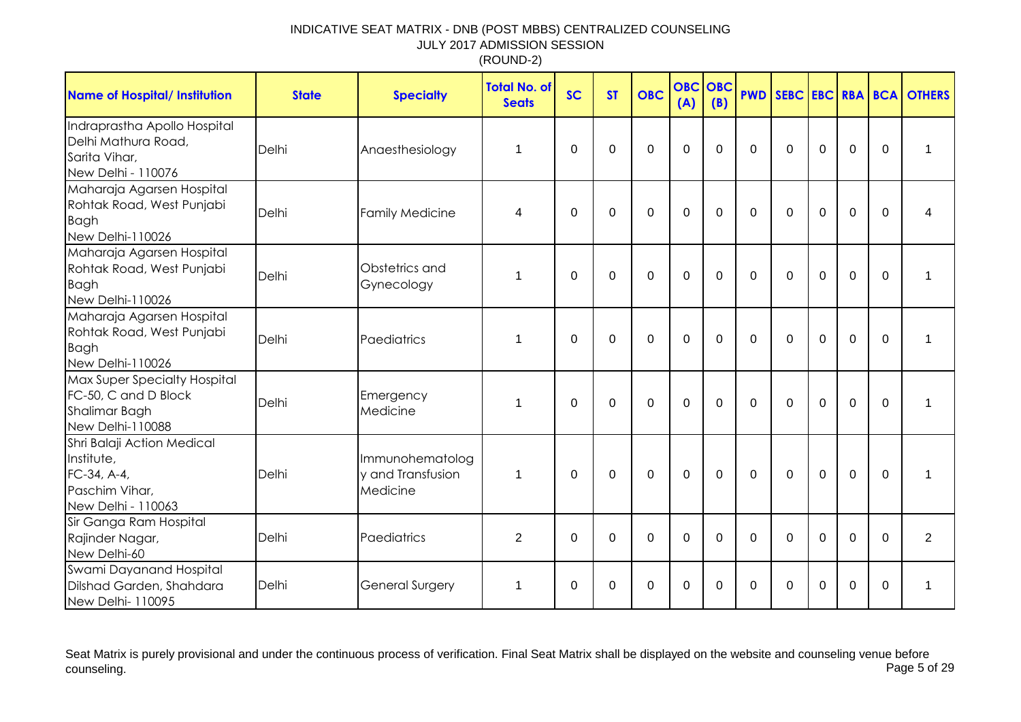| <b>Name of Hospital/ Institution</b>                                                             | <b>State</b> | <b>Specialty</b>                                 | <b>Total No. of</b><br><b>Seats</b> | <b>SC</b>   | <b>ST</b> | <b>OBC</b> | <b>OBC</b><br>(A) | OBC<br>(B)   | <b>PWD</b>  |             |             |             |             | SEBC EBC RBA BCA OTHERS |
|--------------------------------------------------------------------------------------------------|--------------|--------------------------------------------------|-------------------------------------|-------------|-----------|------------|-------------------|--------------|-------------|-------------|-------------|-------------|-------------|-------------------------|
| Indraprastha Apollo Hospital<br>Delhi Mathura Road,<br>Sarita Vihar,<br>New Delhi - 110076       | Delhi        | Anaesthesiology                                  | 1                                   | 0           | $\Omega$  | 0          | 0                 | $\Omega$     | $\Omega$    | $\Omega$    | $\Omega$    | $\mathbf 0$ | 0           | 1                       |
| Maharaja Agarsen Hospital<br>Rohtak Road, West Punjabi<br><b>Bagh</b><br>New Delhi-110026        | Delhi        | <b>Family Medicine</b>                           | 4                                   | $\mathbf 0$ | $\Omega$  | 0          | $\mathbf 0$       | $\mathbf 0$  | $\mathbf 0$ | $\mathbf 0$ | $\mathbf 0$ | $\mathbf 0$ | $\mathbf 0$ | 4                       |
| Maharaja Agarsen Hospital<br>Rohtak Road, West Punjabi<br><b>Bagh</b><br>New Delhi-110026        | Delhi        | Obstetrics and<br>Gynecology                     | 1                                   | 0           | 0         | 0          | 0                 | $\mathbf{0}$ | $\Omega$    | $\Omega$    | $\Omega$    | $\mathbf 0$ | 0           | 1                       |
| Maharaja Agarsen Hospital<br>Rohtak Road, West Punjabi<br><b>Bagh</b><br>New Delhi-110026        | Delhi        | Paediatrics                                      | 1                                   | $\Omega$    | $\Omega$  | $\Omega$   | 0                 | $\Omega$     | $\Omega$    | $\Omega$    | $\Omega$    | $\Omega$    | $\Omega$    | 1                       |
| <b>Max Super Specialty Hospital</b><br>FC-50, C and D Block<br>Shalimar Bagh<br>New Delhi-110088 | Delhi        | Emergency<br>Medicine                            | 1                                   | $\Omega$    | $\Omega$  | 0          | $\overline{0}$    | $\Omega$     | $\Omega$    | $\Omega$    | $\mathbf 0$ | $\mathbf 0$ | $\mathbf 0$ | 1                       |
| Shri Balaji Action Medical<br>Institute,<br>FC-34, A-4,<br>Paschim Vihar,<br>New Delhi - 110063  | Delhi        | Immunohematolog<br>y and Transfusion<br>Medicine | $\mathbf 1$                         | $\Omega$    | $\Omega$  | $\Omega$   | $\Omega$          | $\Omega$     | $\Omega$    | $\Omega$    | $\Omega$    | $\Omega$    | $\Omega$    | 1                       |
| Sir Ganga Ram Hospital<br>Rajinder Nagar,<br>New Delhi-60                                        | Delhi        | Paediatrics                                      | $\overline{2}$                      | $\mathbf 0$ | $\Omega$  | 0          | 0                 | $\Omega$     | $\mathbf 0$ | $\Omega$    | $\Omega$    | $\mathbf 0$ | $\Omega$    | $\overline{2}$          |
| Swami Dayanand Hospital<br>Dilshad Garden, Shahdara<br>New Delhi- 110095                         | Delhi        | General Surgery                                  | 1                                   | 0           | 0         | 0          | 0                 | $\Omega$     | 0           | 0           | 0           | 0           | 0           | 1                       |

Seat Matrix is purely provisional and under the continuous process of verification. Final Seat Matrix shall be displayed on the website and counseling venue before<br>Page 5 of 29 counseling. Page 5 of 29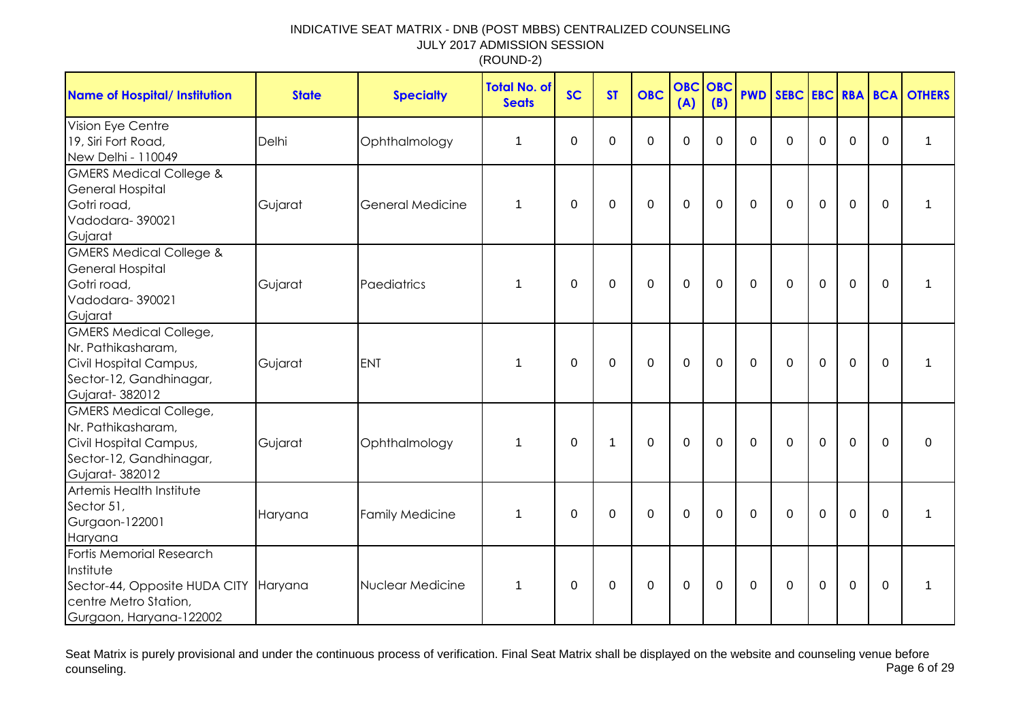| <b>Name of Hospital/ Institution</b>                                                                                               | <b>State</b> | <b>Specialty</b>        | <b>Total No. of</b><br><b>Seats</b> | <b>SC</b>        | <b>ST</b>   | <b>OBC</b>     | <b>OBC</b><br>(A) | OBC<br>(B)  | <b>PWD</b>  |              |             |                |             | SEBC EBC RBA BCA OTHERS |
|------------------------------------------------------------------------------------------------------------------------------------|--------------|-------------------------|-------------------------------------|------------------|-------------|----------------|-------------------|-------------|-------------|--------------|-------------|----------------|-------------|-------------------------|
| Vision Eye Centre<br>19, Siri Fort Road,<br>New Delhi - 110049                                                                     | Delhi        | Ophthalmology           | 1                                   | $\mathbf 0$      | 0           | $\overline{0}$ | $\mathbf 0$       | $\Omega$    | $\mathbf 0$ | $\mathbf 0$  | $\mathbf 0$ | $\mathbf 0$    | $\mathbf 0$ | 1                       |
| <b>GMERS Medical College &amp;</b><br><b>General Hospital</b><br>Gotri road,<br>Vadodara-390021<br>Gujarat                         | Gujarat      | <b>General Medicine</b> | 1                                   | $\boldsymbol{0}$ | $\mathbf 0$ | 0              | $\mathbf 0$       | $\mathbf 0$ | $\mathbf 0$ | $\mathbf 0$  | $\mathbf 0$ | $\mathbf 0$    | 0           | $\mathbf 1$             |
| <b>GMERS Medical College &amp;</b><br><b>General Hospital</b><br>Gotri road,<br>Vadodara-390021<br>Gujarat                         | Gujarat      | Paediatrics             | 1                                   | 0                | 0           | 0              | $\mathbf 0$       | $\Omega$    | $\Omega$    | $\mathbf{0}$ | $\mathbf 0$ | $\mathbf 0$    | $\Omega$    | $\mathbf 1$             |
| <b>GMERS Medical College,</b><br>Nr. Pathikasharam,<br>Civil Hospital Campus,<br>Sector-12, Gandhinagar,<br>Gujarat-382012         | Gujarat      | <b>ENT</b>              | 1                                   | 0                | $\mathbf 0$ | $\mathbf 0$    | $\mathbf 0$       | $\Omega$    | $\Omega$    | $\mathbf{0}$ | $\mathbf 0$ | $\mathbf 0$    | $\Omega$    | 1                       |
| <b>GMERS Medical College,</b><br>Nr. Pathikasharam,<br>Civil Hospital Campus,<br>Sector-12, Gandhinagar,<br>Gujarat-382012         | Gujarat      | Ophthalmology           | 1                                   | 0                | $\mathbf 1$ | $\mathbf 0$    | $\mathbf 0$       | $\mathbf 0$ | $\mathbf 0$ | $\mathbf 0$  | $\mathbf 0$ | $\mathbf 0$    | $\Omega$    | 0                       |
| Artemis Health Institute<br>Sector 51,<br>Gurgaon-122001<br>Haryana                                                                | Haryana      | <b>Family Medicine</b>  | 1                                   | $\mathbf 0$      | $\mathbf 0$ | $\mathbf 0$    | $\mathbf 0$       | $\mathbf 0$ | $\mathbf 0$ | $\mathbf 0$  | $\mathbf 0$ | $\overline{0}$ | $\mathbf 0$ | $\mathbf{1}$            |
| Fortis Memorial Research<br>Institute<br>Sector-44, Opposite HUDA CITY Haryana<br>centre Metro Station,<br>Gurgaon, Haryana-122002 |              | Nuclear Medicine        | 1                                   | 0                | 0           | 0              | $\mathbf 0$       | 0           | 0           | 0            | 0           | 0              | 0           | 1                       |

Seat Matrix is purely provisional and under the continuous process of verification. Final Seat Matrix shall be displayed on the website and counseling venue before<br>Page 6 of 29 counseling. Page 6 of 29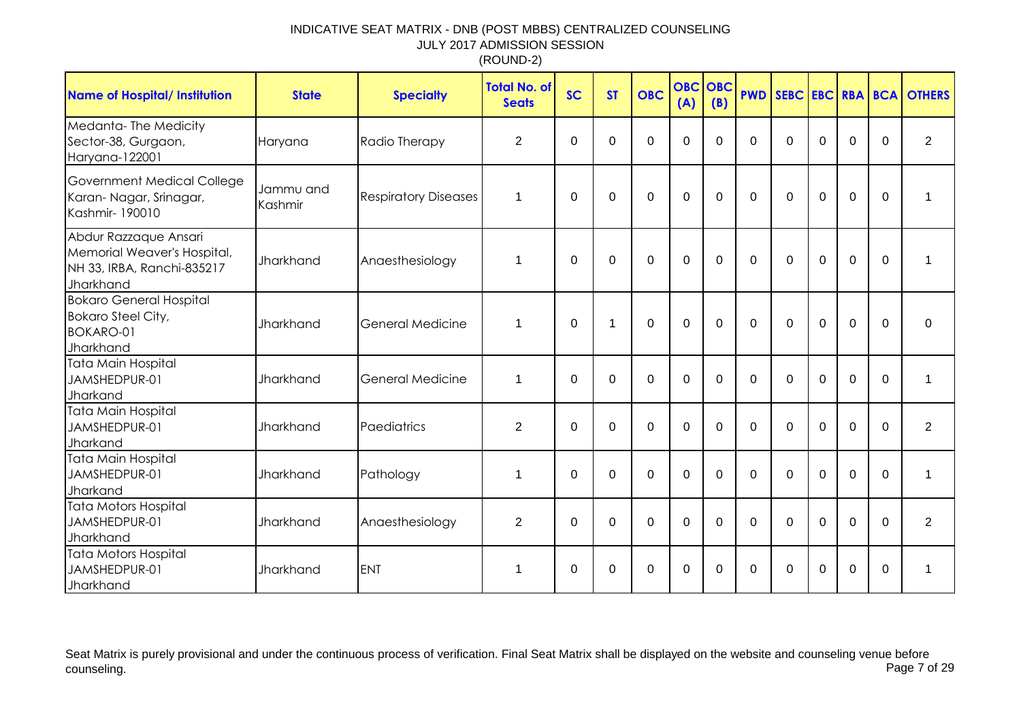| <b>Name of Hospital/ Institution</b>                                                            | <b>State</b>         | <b>Specialty</b>            | <b>Total No. of</b><br><b>Seats</b> | <b>SC</b> | <b>ST</b> | <b>OBC</b>     | <b>OBC OBC</b><br>(A) | (B)         |             |          |             |                |          | <b>PWD SEBC EBC RBA BCA OTHERS</b> |
|-------------------------------------------------------------------------------------------------|----------------------|-----------------------------|-------------------------------------|-----------|-----------|----------------|-----------------------|-------------|-------------|----------|-------------|----------------|----------|------------------------------------|
| Medanta-The Medicity<br>Sector-38, Gurgaon,<br>Haryana-122001                                   | Haryana              | Radio Therapy               | $\overline{2}$                      | $\Omega$  | $\Omega$  | $\mathbf 0$    | $\mathbf 0$           | $\Omega$    | $\Omega$    | $\Omega$ | $\Omega$    | $\overline{0}$ | $\Omega$ | $\overline{2}$                     |
| <b>Government Medical College</b><br>Karan-Nagar, Srinagar,<br>Kashmir-190010                   | Jammu and<br>Kashmir | <b>Respiratory Diseases</b> | 1                                   | $\Omega$  | $\Omega$  | 0              | $\mathbf 0$           | $\mathbf 0$ | $\Omega$    | $\Omega$ | $\Omega$    | $\mathbf 0$    | $\Omega$ | 1                                  |
| Abdur Razzaque Ansari<br>Memorial Weaver's Hospital,<br>NH 33, IRBA, Ranchi-835217<br>Jharkhand | Jharkhand            | Anaesthesiology             | 1                                   | $\Omega$  | 0         | $\Omega$       | $\Omega$              | $\Omega$    | $\Omega$    | $\Omega$ | $\Omega$    | $\Omega$       | $\Omega$ |                                    |
| <b>Bokaro General Hospital</b><br><b>Bokaro Steel City,</b><br><b>BOKARO-01</b><br>Jharkhand    | Jharkhand            | <b>General Medicine</b>     | 1                                   | $\Omega$  | -1        | $\overline{0}$ | $\mathbf 0$           | $\Omega$    | $\Omega$    | $\Omega$ | $\mathbf 0$ | $\overline{0}$ | $\Omega$ | $\Omega$                           |
| Tata Main Hospital<br>JAMSHEDPUR-01<br>Jharkand                                                 | Jharkhand            | <b>General Medicine</b>     | 1                                   | 0         | $\Omega$  | $\mathbf 0$    | $\mathbf 0$           | 0           | $\mathbf 0$ | $\Omega$ | $\mathbf 0$ | $\mathbf 0$    | $\Omega$ | 1                                  |
| Tata Main Hospital<br>JAMSHEDPUR-01<br>Jharkand                                                 | <b>Jharkhand</b>     | Paediatrics                 | $\overline{2}$                      | $\Omega$  | $\Omega$  | $\mathbf 0$    | $\mathbf 0$           | $\Omega$    | $\Omega$    | $\Omega$ | $\Omega$    | $\Omega$       | $\Omega$ | $\overline{2}$                     |
| Tata Main Hospital<br>JAMSHEDPUR-01<br>Jharkand                                                 | Jharkhand            | Pathology                   | 1                                   | $\Omega$  | $\Omega$  | $\mathbf 0$    | $\mathbf 0$           | $\Omega$    | $\Omega$    | $\Omega$ | $\Omega$    | $\overline{0}$ | $\Omega$ | 1                                  |
| Tata Motors Hospital<br>JAMSHEDPUR-01<br>Jharkhand                                              | Jharkhand            | Anaesthesiology             | $\overline{2}$                      | $\Omega$  | 0         | $\Omega$       | $\Omega$              | $\Omega$    | $\Omega$    | $\Omega$ | $\Omega$    | $\Omega$       | $\Omega$ | 2                                  |
| <b>Tata Motors Hospital</b><br>JAMSHEDPUR-01<br>Jharkhand                                       | Jharkhand            | <b>ENT</b>                  | 1                                   | 0         | 0         | 0              | $\mathbf 0$           | 0           | $\Omega$    | $\Omega$ | $\Omega$    | $\overline{0}$ | $\Omega$ |                                    |

Seat Matrix is purely provisional and under the continuous process of verification. Final Seat Matrix shall be displayed on the website and counseling venue before<br>Page 7 of 29 counseling. Page 7 of 29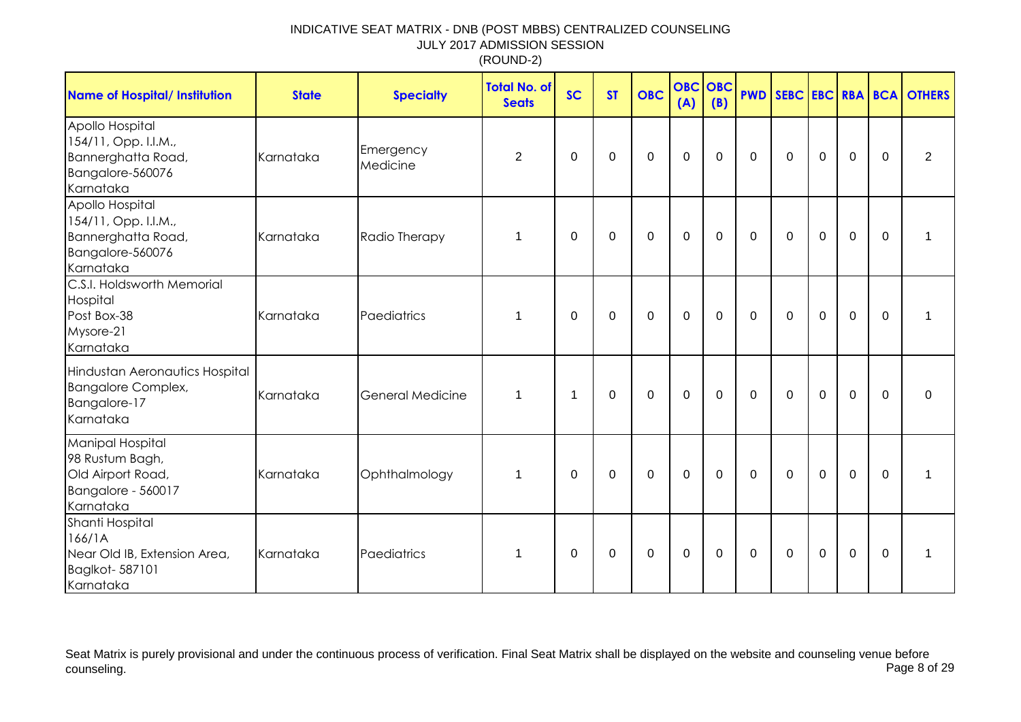| <b>Name of Hospital/ Institution</b>                                                               | <b>State</b> | <b>Specialty</b>        | Total No. of<br><b>Seats</b> | <b>SC</b>   | <b>ST</b>   | <b>OBC</b>  | <b>OBC</b><br>(A) | <b>OBC</b><br>(B) |             |             |             |             |             | <b>PWD SEBC EBC RBA BCA OTHERS</b> |
|----------------------------------------------------------------------------------------------------|--------------|-------------------------|------------------------------|-------------|-------------|-------------|-------------------|-------------------|-------------|-------------|-------------|-------------|-------------|------------------------------------|
| Apollo Hospital<br>154/11, Opp. I.I.M.,<br>Bannerghatta Road,<br>Bangalore-560076<br>Karnataka     | Karnataka    | Emergency<br>Medicine   | $\overline{2}$               | 0           | $\mathbf 0$ | $\mathbf 0$ | $\mathbf 0$       | $\mathbf 0$       | $\mathbf 0$ | $\mathbf 0$ | $\mathbf 0$ | $\mathbf 0$ | $\mathbf 0$ | $\overline{2}$                     |
| Apollo Hospital<br>154/11, Opp. I.I.M.,<br>Bannerghatta Road,<br>Bangalore-560076<br>Karnataka     | Karnataka    | Radio Therapy           | 1                            | 0           | 0           | $\mathbf 0$ | $\mathbf 0$       | $\mathbf 0$       | $\mathbf 0$ | $\mathbf 0$ | $\mathbf 0$ | $\mathbf 0$ | $\mathbf 0$ | 1                                  |
| C.S.I. Holdsworth Memorial<br>Hospital<br>Post Box-38<br>Mysore-21<br>Karnataka                    | Karnataka    | Paediatrics             | 1                            | 0           | $\mathbf 0$ | $\mathbf 0$ | $\mathbf 0$       | $\mathbf 0$       | $\mathbf 0$ | $\mathbf 0$ | $\mathbf 0$ | $\mathbf 0$ | $\mathbf 0$ | 1                                  |
| Hindustan Aeronautics Hospital<br><b>Bangalore Complex,</b><br>Bangalore-17<br>Karnataka           | Karnataka    | <b>General Medicine</b> | 1                            | 1           | $\mathbf 0$ | $\pmb{0}$   | $\mathbf 0$       | $\mathbf 0$       | $\mathbf 0$ | $\mathbf 0$ | $\mathbf 0$ | $\mathbf 0$ | $\mathbf 0$ | $\mathbf 0$                        |
| <b>Manipal Hospital</b><br>98 Rustum Bagh,<br>Old Airport Road,<br>Bangalore - 560017<br>Karnataka | Karnataka    | Ophthalmology           | 1                            | $\mathbf 0$ | $\pmb{0}$   | $\pmb{0}$   | $\boldsymbol{0}$  | $\mathbf 0$       | $\mathbf 0$ | $\mathbf 0$ | $\mathbf 0$ | $\mathbf 0$ | $\mathbf 0$ | 1                                  |
| Shanti Hospital<br>166/1A<br>Near Old IB, Extension Area,<br>Baglkot-587101<br>Karnataka           | Karnataka    | Paediatrics             | 1                            | 0           | $\pmb{0}$   | $\pmb{0}$   | $\boldsymbol{0}$  | $\pmb{0}$         | $\mathbf 0$ | $\mathbf 0$ | $\mathbf 0$ | $\mathbf 0$ | $\mathbf 0$ | 1                                  |

Seat Matrix is purely provisional and under the continuous process of verification. Final Seat Matrix shall be displayed on the website and counseling venue before<br>Page 8 of 29 counseling. Page 8 of 29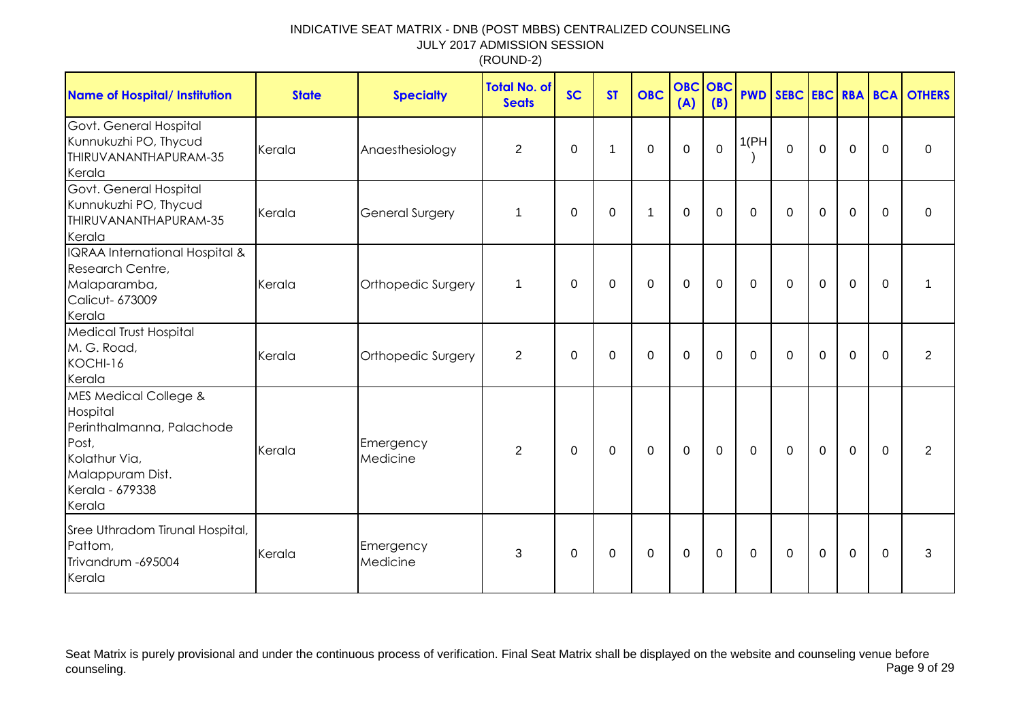| <b>Name of Hospital/ Institution</b>                                                                                                                 | <b>State</b> | <b>Specialty</b>       | <b>Total No. of</b><br><b>Seats</b> | <b>SC</b>   | <b>ST</b>   | <b>OBC</b>  | <b>OBC OBC</b><br>(A) | (B)         | <b>PWD</b>  |                |             |                |              | SEBC EBC RBA BCA OTHERS |
|------------------------------------------------------------------------------------------------------------------------------------------------------|--------------|------------------------|-------------------------------------|-------------|-------------|-------------|-----------------------|-------------|-------------|----------------|-------------|----------------|--------------|-------------------------|
| Govt. General Hospital<br>Kunnukuzhi PO, Thycud<br>THIRUVANANTHAPURAM-35<br>Kerala                                                                   | Kerala       | Anaesthesiology        | $\overline{2}$                      | $\mathbf 0$ | 1           | $\mathbf 0$ | $\mathbf 0$           | $\mathbf 0$ | 1(PH)       | $\overline{0}$ | $\mathbf 0$ | $\mathbf 0$    | $\mathbf 0$  | $\mathbf 0$             |
| Govt. General Hospital<br>Kunnukuzhi PO, Thycud<br>THIRUVANANTHAPURAM-35<br>Kerala                                                                   | Kerala       | <b>General Surgery</b> | $\mathbf 1$                         | $\Omega$    | $\mathbf 0$ | 1           | $\mathbf 0$           | $\mathbf 0$ | $\Omega$    | $\mathbf 0$    | $\mathbf 0$ | $\mathbf 0$    | $\Omega$     | $\Omega$                |
| IQRAA International Hospital &<br>Research Centre,<br>Malaparamba,<br><b>Calicut- 673009</b><br>Kerala                                               | Kerala       | Orthopedic Surgery     | 1                                   | 0           | 0           | $\mathbf 0$ | $\mathbf 0$           | $\mathbf 0$ | $\mathbf 0$ | $\mathbf 0$    | $\mathbf 0$ | $\mathbf 0$    | 0            | $\mathbf 1$             |
| <b>Medical Trust Hospital</b><br>M. G. Road,<br>KOCHI-16<br>Kerala                                                                                   | Kerala       | Orthopedic Surgery     | $\overline{2}$                      | $\Omega$    | $\Omega$    | $\Omega$    | $\mathbf 0$           | $\Omega$    | $\Omega$    | $\Omega$       | $\mathbf 0$ | $\mathbf 0$    | $\Omega$     | $\overline{2}$          |
| <b>MES Medical College &amp;</b><br>Hospital<br>Perinthalmanna, Palachode<br>Post,<br>Kolathur Via,<br>Malappuram Dist.<br>Kerala - 679338<br>Kerala | Kerala       | Emergency<br>Medicine  | 2                                   | $\Omega$    | $\Omega$    | $\Omega$    | $\mathbf 0$           | $\Omega$    | $\Omega$    | $\mathbf{0}$   | $\mathbf 0$ | $\overline{0}$ | $\Omega$     | 2                       |
| Sree Uthradom Tirunal Hospital,<br>Pattom,<br>Trivandrum -695004<br>Kerala                                                                           | Kerala       | Emergency<br>Medicine  | 3                                   | 0           | 0           | $\mathbf 0$ | $\boldsymbol{0}$      | 0           | $\mathbf 0$ | 0              | $\mathbf 0$ | $\mathbf 0$    | $\mathbf{0}$ | 3                       |

Seat Matrix is purely provisional and under the continuous process of verification. Final Seat Matrix shall be displayed on the website and counseling venue before<br>Page 9 of 29 counseling. Page 9 of 29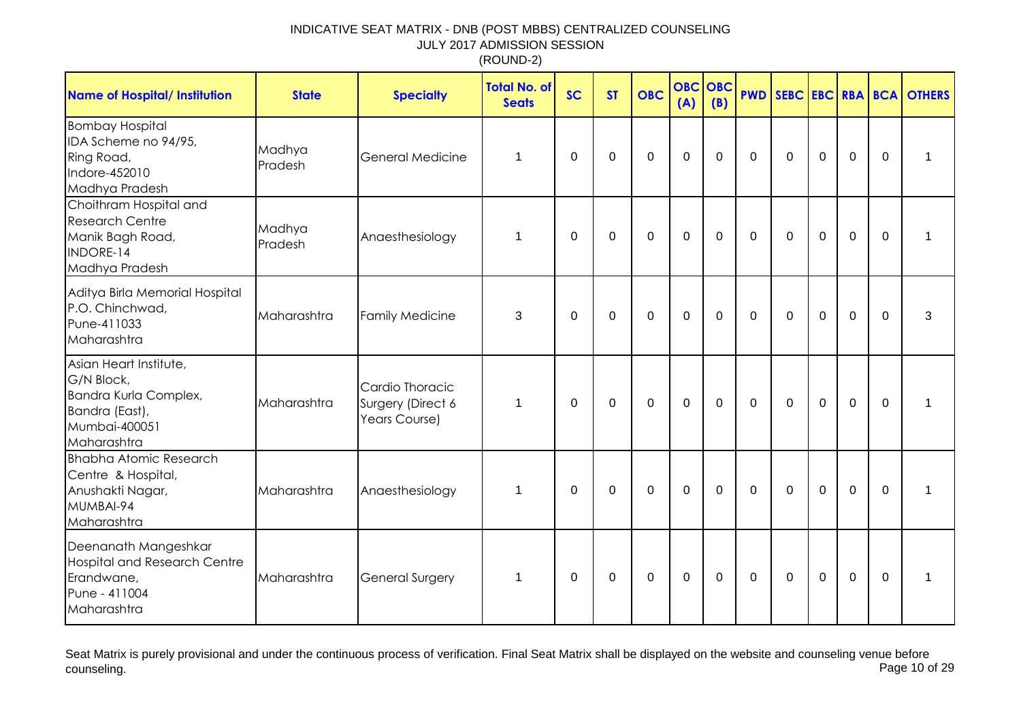| <b>Name of Hospital/ Institution</b>                                                                            | <b>State</b>      | <b>Specialty</b>                                      | <b>Total No. of</b><br><b>Seats</b> | <b>SC</b>    | <b>ST</b>   | <b>OBC</b>       | <b>OBC</b><br>(A) | OBC<br>(B)  |              |              |             |                |             | <b>PWD SEBC EBC RBA BCA OTHERS</b> |
|-----------------------------------------------------------------------------------------------------------------|-------------------|-------------------------------------------------------|-------------------------------------|--------------|-------------|------------------|-------------------|-------------|--------------|--------------|-------------|----------------|-------------|------------------------------------|
| <b>Bombay Hospital</b><br>IDA Scheme no 94/95,<br>Ring Road,<br>Indore-452010<br>Madhya Pradesh                 | Madhya<br>Pradesh | <b>General Medicine</b>                               | 1                                   | 0            | 0           | $\mathbf 0$      | $\mathbf 0$       | 0           | $\mathbf{0}$ | 0            | $\mathbf 0$ | $\mathbf 0$    | $\Omega$    | 1                                  |
| Choithram Hospital and<br><b>Research Centre</b><br>Manik Bagh Road,<br>INDORE-14<br>Madhya Pradesh             | Madhya<br>Pradesh | Anaesthesiology                                       | $\mathbf 1$                         | $\mathbf 0$  | $\mathbf 0$ | $\boldsymbol{0}$ | $\mathbf 0$       | $\mathbf 0$ | $\mathbf 0$  | $\mathbf 0$  | $\mathbf 0$ | $\mathbf 0$    | $\mathbf 0$ | 1                                  |
| Aditya Birla Memorial Hospital<br>P.O. Chinchwad,<br>Pune-411033<br>Maharashtra                                 | Maharashtra       | <b>Family Medicine</b>                                | 3                                   | 0            | $\mathbf 0$ | $\mathbf 0$      | $\mathbf 0$       | 0           | $\mathbf 0$  | $\Omega$     | $\mathbf 0$ | $\overline{0}$ | $\mathbf 0$ | 3                                  |
| Asian Heart Institute,<br>G/N Block,<br>Bandra Kurla Complex,<br>Bandra (East),<br>Mumbai-400051<br>Maharashtra | Maharashtra       | Cardio Thoracic<br>Surgery (Direct 6<br>Years Course) | $\mathbf{1}$                        | $\mathbf 0$  | $\mathbf 0$ | $\mathbf 0$      | $\mathbf 0$       | $\mathbf 0$ | $\mathbf 0$  | $\mathbf 0$  | $\mathbf 0$ | $\overline{0}$ | $\mathbf 0$ |                                    |
| <b>Bhabha Atomic Research</b><br>Centre & Hospital,<br>Anushakti Nagar,<br>MUMBAI-94<br>Maharashtra             | Maharashtra       | Anaesthesiology                                       | $\mathbf{1}$                        | $\mathbf{0}$ | 0           | $\mathbf 0$      | $\mathbf 0$       | 0           | $\mathbf{0}$ | $\Omega$     | $\Omega$    | $\mathbf 0$    | $\Omega$    |                                    |
| Deenanath Mangeshkar<br><b>Hospital and Research Centre</b><br>Erandwane,<br>Pune - 411004<br>Maharashtra       | Maharashtra       | <b>General Surgery</b>                                | 1                                   | 0            | 0           | 0                | 0                 | 0           | $\mathbf 0$  | $\mathbf{0}$ | $\mathbf 0$ | $\mathbf 0$    | $\Omega$    | 1                                  |

Seat Matrix is purely provisional and under the continuous process of verification. Final Seat Matrix shall be displayed on the website and counseling venue before<br>Page 10 of 29 counseling. Page 10 of 29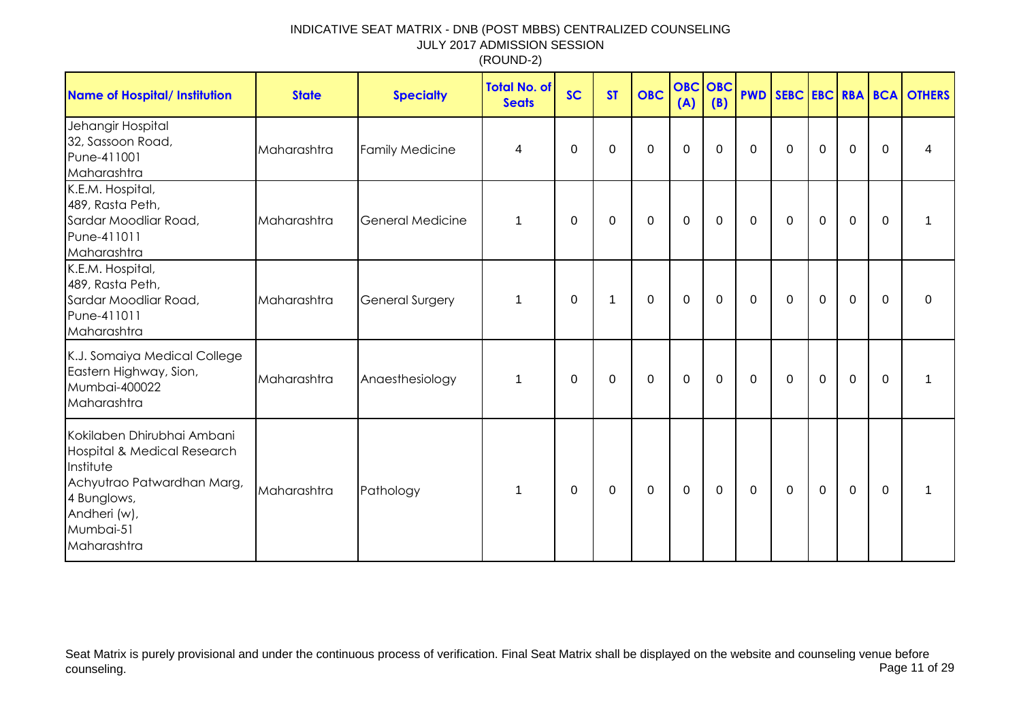| <b>Name of Hospital/ Institution</b>                                                                                                                            | <b>State</b> | <b>Specialty</b>        | <b>Total No. of</b><br><b>Seats</b> | <b>SC</b>   | <b>ST</b>   | <b>OBC</b>  | <b>OBC</b> OBC<br>(A) | (B)            |             |             |             |             |             | <b>PWD SEBC EBC RBA BCA OTHERS</b> |
|-----------------------------------------------------------------------------------------------------------------------------------------------------------------|--------------|-------------------------|-------------------------------------|-------------|-------------|-------------|-----------------------|----------------|-------------|-------------|-------------|-------------|-------------|------------------------------------|
| Jehangir Hospital<br>32, Sassoon Road,<br>Pune-411001<br>Maharashtra                                                                                            | Maharashtra  | <b>Family Medicine</b>  | 4                                   | 0           | 0           | $\mathbf 0$ | $\mathbf 0$           | $\mathbf 0$    | $\mathbf 0$ | $\mathbf 0$ | $\mathbf 0$ | $\mathbf 0$ | $\mathbf 0$ | 4                                  |
| K.E.M. Hospital,<br>489, Rasta Peth,<br>Sardar Moodliar Road,<br>Pune-411011<br>Maharashtra                                                                     | Maharashtra  | <b>General Medicine</b> | 1                                   | 0           | 0           | $\mathbf 0$ | $\mathbf 0$           | 0              | $\mathbf 0$ | $\mathbf 0$ | $\mathbf 0$ | $\mathbf 0$ | $\mathbf 0$ | 1                                  |
| K.E.M. Hospital,<br>489, Rasta Peth,<br>Sardar Moodliar Road,<br>Pune-411011<br>Maharashtra                                                                     | Maharashtra  | <b>General Surgery</b>  | 1                                   | 0           | 1           | 0           | $\mathbf 0$           | 0              | 0           | 0           | $\mathbf 0$ | $\mathbf 0$ | $\mathbf 0$ | 0                                  |
| K.J. Somaiya Medical College<br>Eastern Highway, Sion,<br>Mumbai-400022<br>Maharashtra                                                                          | Maharashtra  | Anaesthesiology         | 1                                   | 0           | 0           | 0           | $\mathbf 0$           | 0              | 0           | 0           | 0           | $\mathbf 0$ | $\mathbf 0$ | 1                                  |
| Kokilaben Dhirubhai Ambani<br>Hospital & Medical Research<br>Institute<br>Achyutrao Patwardhan Marg,<br>4 Bunglows,<br>Andheri (w),<br>Mumbai-51<br>Maharashtra | Maharashtra  | Pathology               | $\mathbf{1}$                        | $\mathbf 0$ | $\mathbf 0$ | $\mathbf 0$ | $\mathbf 0$           | $\overline{0}$ | $\mathbf 0$ | $\mathbf 0$ | $\mathbf 0$ | $\mathbf 0$ | $\mathbf 0$ | 1                                  |

Seat Matrix is purely provisional and under the continuous process of verification. Final Seat Matrix shall be displayed on the website and counseling venue before<br>Page 11 of 29 counseling. Page 11 of 29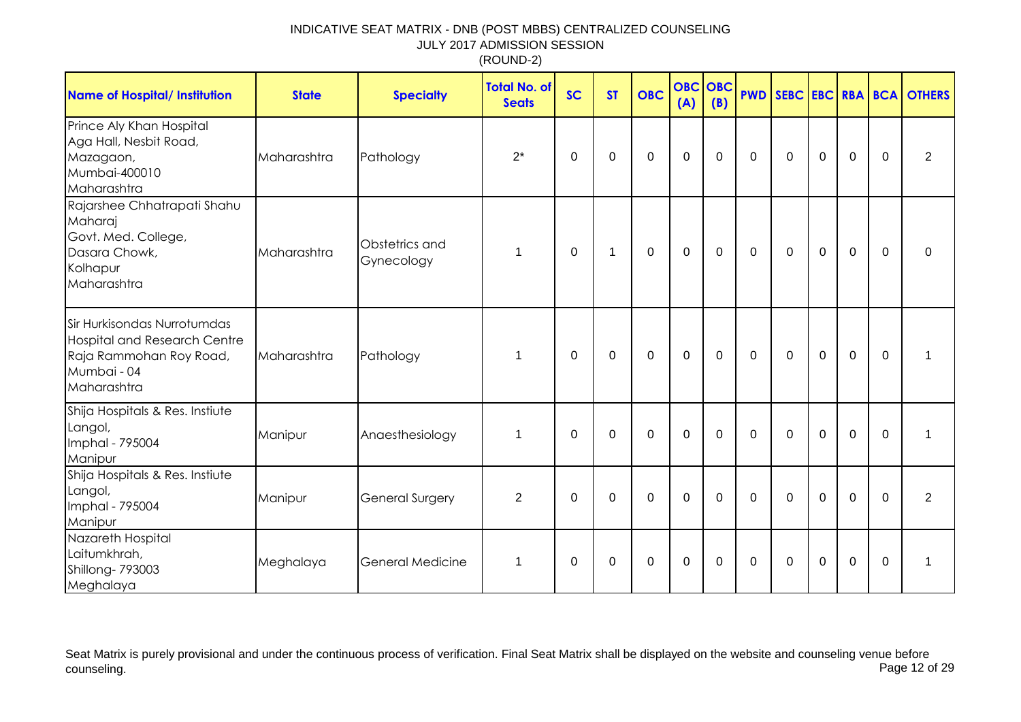| <b>Name of Hospital/ Institution</b>                                                                                        | <b>State</b> | <b>Specialty</b>             | <b>Total No. of</b><br><b>Seats</b> | <b>SC</b>   | <b>ST</b>    | <b>OBC</b>       | <b>OBC OBC</b><br>(A) | (B)         |              |             |             |                |             | <b>PWD SEBC EBC RBA BCA OTHERS</b> |
|-----------------------------------------------------------------------------------------------------------------------------|--------------|------------------------------|-------------------------------------|-------------|--------------|------------------|-----------------------|-------------|--------------|-------------|-------------|----------------|-------------|------------------------------------|
| Prince Aly Khan Hospital<br>Aga Hall, Nesbit Road,<br>Mazagaon,<br>Mumbai-400010<br>Maharashtra                             | Maharashtra  | Pathology                    | $2^*$                               | $\Omega$    | $\mathbf 0$  | $\mathbf 0$      | $\mathbf 0$           | $\mathbf 0$ | $\Omega$     | $\Omega$    | $\mathbf 0$ | $\overline{0}$ | $\Omega$    | $\overline{2}$                     |
| Rajarshee Chhatrapati Shahu<br>Maharaj<br>Govt. Med. College,<br>Dasara Chowk,<br>Kolhapur<br>Maharashtra                   | Maharashtra  | Obstetrics and<br>Gynecology | 1                                   | $\Omega$    | $\mathbf{1}$ | $\boldsymbol{0}$ | $\mathbf 0$           | 0           | $\mathbf{0}$ | $\mathbf 0$ | $\mathbf 0$ | $\mathbf 0$    | $\Omega$    | $\Omega$                           |
| Sir Hurkisondas Nurrotumdas<br><b>Hospital and Research Centre</b><br>Raja Rammohan Roy Road,<br>Mumbai - 04<br>Maharashtra | Maharashtra  | Pathology                    | 1                                   | $\Omega$    | 0            | $\mathbf 0$      | $\mathbf 0$           | 0           | $\mathbf 0$  | $\Omega$    | $\mathbf 0$ | $\mathbf 0$    | $\Omega$    |                                    |
| Shija Hospitals & Res. Instiute<br>Langol,<br>Imphal - 795004<br>Manipur                                                    | Manipur      | Anaesthesiology              | $\mathbf 1$                         | $\mathbf 0$ | 0            | $\mathbf 0$      | $\mathbf 0$           | $\mathbf 0$ | $\mathbf 0$  | $\mathbf 0$ | $\mathbf 0$ | $\mathbf 0$    | $\mathbf 0$ |                                    |
| Shija Hospitals & Res. Instiute<br>Langol,<br>Imphal - 795004<br>Manipur                                                    | Manipur      | General Surgery              | $\overline{2}$                      | $\Omega$    | $\Omega$     | $\mathbf 0$      | $\mathbf 0$           | $\Omega$    | $\mathbf{0}$ | $\Omega$    | $\Omega$    | $\overline{0}$ | $\Omega$    | $\overline{2}$                     |
| Nazareth Hospital<br>Laitumkhrah,<br>Shillong-793003<br>Meghalaya                                                           | Meghalaya    | General Medicine             | 1                                   | 0           | 0            | $\mathbf 0$      | $\boldsymbol{0}$      | 0           | 0            | 0           | $\mathbf 0$ | $\mathbf 0$    | 0           | 1                                  |

Seat Matrix is purely provisional and under the continuous process of verification. Final Seat Matrix shall be displayed on the website and counseling venue before<br>Page 12 of 29 counseling. Page 12 of 29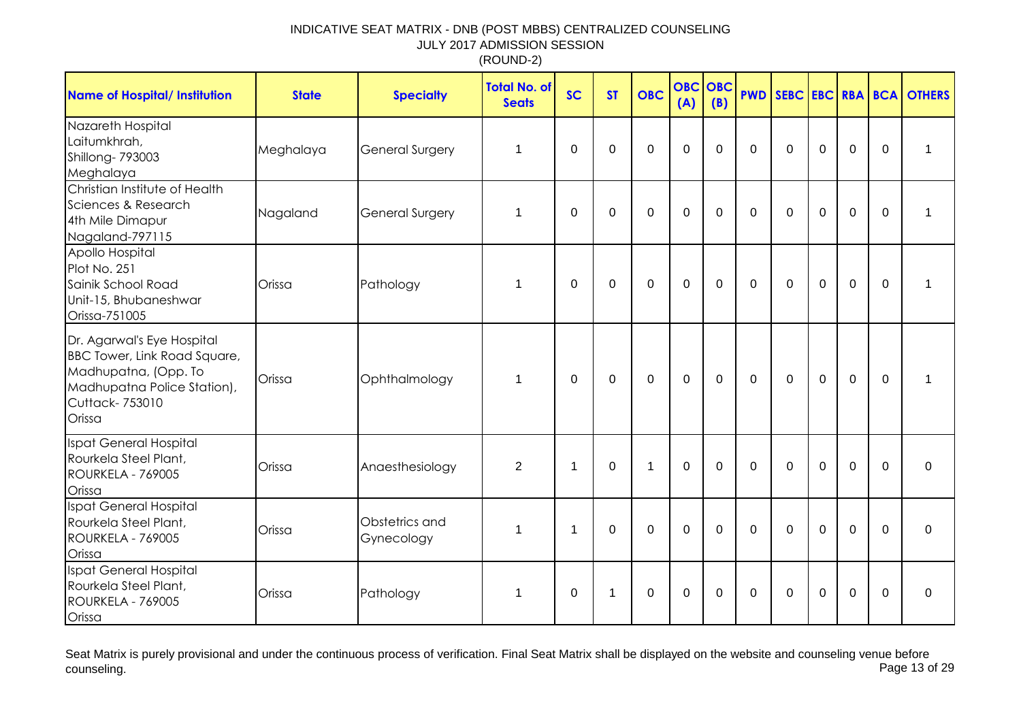| <b>Name of Hospital/ Institution</b>                                                                                                                 | <b>State</b> | <b>Specialty</b>             | <b>Total No. of</b><br><b>Seats</b> | <b>SC</b>    | <b>ST</b>    | <b>OBC</b>     | <b>OBC</b><br>(A) | OBC<br>(B)  | <b>PWD</b>     |             |                |             |             | <b>SEBC EBC RBA BCA OTHERS</b> |
|------------------------------------------------------------------------------------------------------------------------------------------------------|--------------|------------------------------|-------------------------------------|--------------|--------------|----------------|-------------------|-------------|----------------|-------------|----------------|-------------|-------------|--------------------------------|
| Nazareth Hospital<br>Laitumkhrah,<br>Shillong-793003<br>Meghalaya                                                                                    | Meghalaya    | <b>General Surgery</b>       | 1                                   | 0            | $\mathbf 0$  | $\mathbf 0$    | $\overline{0}$    | $\Omega$    | $\mathbf 0$    | $\Omega$    | $\Omega$       | $\mathbf 0$ | 0           | 1                              |
| Christian Institute of Health<br>Sciences & Research<br>4th Mile Dimapur<br>Nagaland-797115                                                          | Nagaland     | General Surgery              | 1                                   | $\mathbf 0$  | $\mathbf 0$  | $\overline{0}$ | $\mathbf 0$       | $\mathbf 0$ | $\Omega$       | $\mathbf 0$ | $\mathbf 0$    | $\mathbf 0$ | $\mathbf 0$ | 1                              |
| Apollo Hospital<br>Plot No. 251<br>Sainik School Road<br>Unit-15, Bhubaneshwar<br>Orissa-751005                                                      | Orissa       | Pathology                    | 1                                   | 0            | $\mathbf 0$  | 0              | $\mathbf 0$       | $\Omega$    | $\Omega$       | $\Omega$    | $\mathbf 0$    | $\mathbf 0$ | $\mathbf 0$ | $\mathbf{1}$                   |
| Dr. Agarwal's Eye Hospital<br><b>BBC Tower, Link Road Square,</b><br>Madhupatna, (Opp. To<br>Madhupatna Police Station),<br>Cuttack-753010<br>Orissa | Orissa       | Ophthalmology                | 1                                   | 0            | $\pmb{0}$    | $\mathbf 0$    | $\mathbf 0$       | $\mathbf 0$ | $\mathbf 0$    | $\mathbf 0$ | $\overline{0}$ | $\mathbf 0$ | 0           | 1                              |
| Ispat General Hospital<br>Rourkela Steel Plant,<br>ROURKELA - 769005<br>Orissa                                                                       | Orissa       | Anaesthesiology              | $\overline{2}$                      | $\mathbf{1}$ | $\mathbf 0$  | $\mathbf 1$    | $\mathbf 0$       | $\Omega$    | $\overline{0}$ | $\Omega$    | $\mathbf 0$    | $\mathbf 0$ | $\Omega$    | 0                              |
| Ispat General Hospital<br>Rourkela Steel Plant,<br>ROURKELA - 769005<br>Orissa                                                                       | Orissa       | Obstetrics and<br>Gynecology | 1                                   | $\mathbf 1$  | $\mathbf 0$  | $\mathbf 0$    | $\mathbf 0$       | $\mathbf 0$ | $\mathbf 0$    | $\mathbf 0$ | $\mathbf 0$    | $\mathbf 0$ | $\Omega$    | $\mathbf 0$                    |
| Ispat General Hospital<br>Rourkela Steel Plant,<br>ROURKELA - 769005<br>Orissa                                                                       | Orissa       | Pathology                    | 1                                   | $\Omega$     | $\mathbf{1}$ | $\mathbf 0$    | $\mathbf 0$       | $\Omega$    | $\mathbf 0$    | $\Omega$    | $\mathbf 0$    | $\mathbf 0$ | $\Omega$    | $\Omega$                       |

Seat Matrix is purely provisional and under the continuous process of verification. Final Seat Matrix shall be displayed on the website and counseling venue before<br>Page 13 of 29 counseling. Page 13 of 29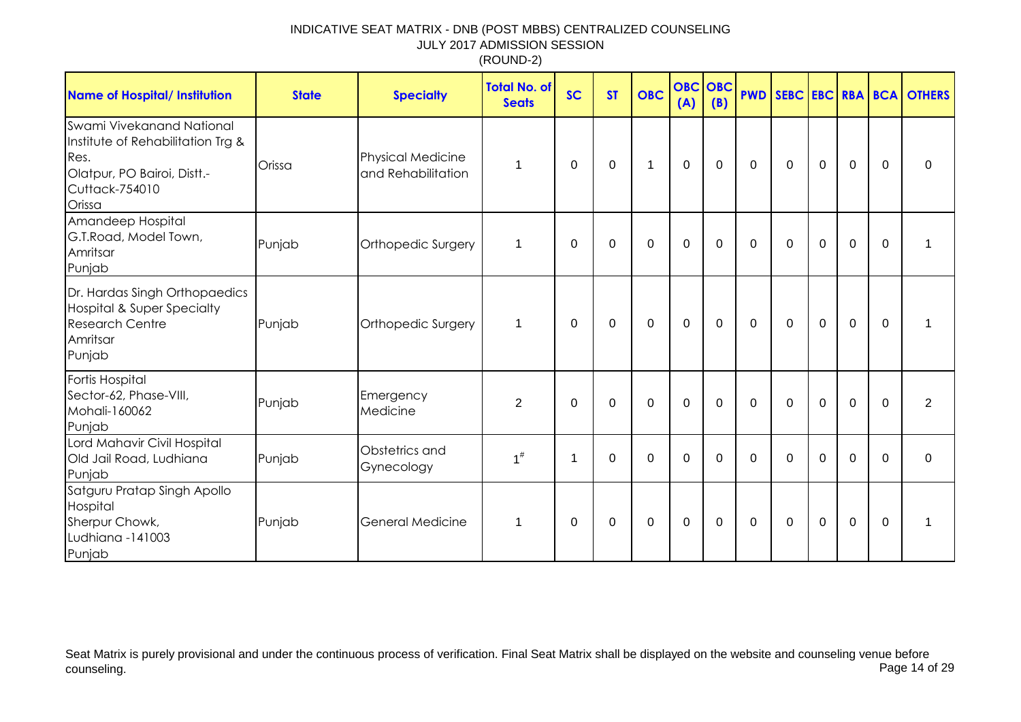| <b>Name of Hospital/ Institution</b>                                                                                              | <b>State</b> | <b>Specialty</b>                               | <b>Total No. of</b><br><b>Seats</b> | <b>SC</b> | <b>ST</b>   | <b>OBC</b>   | <b>OBC</b> OBC<br>(A) | (B) |              |              |                |             |             | <b>PWD SEBC EBC RBA BCA OTHERS</b> |
|-----------------------------------------------------------------------------------------------------------------------------------|--------------|------------------------------------------------|-------------------------------------|-----------|-------------|--------------|-----------------------|-----|--------------|--------------|----------------|-------------|-------------|------------------------------------|
| Swami Vivekanand National<br>Institute of Rehabilitation Trg &<br>Res.<br>Olatpur, PO Bairoi, Distt.-<br>Cuttack-754010<br>Orissa | Orissa       | <b>Physical Medicine</b><br>and Rehabilitation | 1                                   | $\Omega$  | $\mathbf 0$ | $\mathbf{1}$ | $\overline{0}$        | 0   | $\mathbf 0$  | $\mathbf 0$  | $\mathbf 0$    | $\mathbf 0$ | $\mathbf 0$ | $\Omega$                           |
| Amandeep Hospital<br>G.T.Road, Model Town,<br>Amritsar<br>Punjab                                                                  | Punjab       | Orthopedic Surgery                             | 1                                   | 0         | 0           | $\mathbf 0$  | $\mathbf 0$           | 0   | $\Omega$     | $\Omega$     | $\mathbf 0$    | $\mathbf 0$ | $\Omega$    |                                    |
| Dr. Hardas Singh Orthopaedics<br><b>Hospital &amp; Super Specialty</b><br><b>Research Centre</b><br>Amritsar<br>Punjab            | Punjab       | Orthopedic Surgery                             | 1                                   | $\Omega$  | 0           | $\mathbf 0$  | $\mathbf 0$           | 0   | $\mathbf{0}$ | $\mathbf 0$  | $\overline{0}$ | $\mathbf 0$ | $\Omega$    |                                    |
| <b>Fortis Hospital</b><br>Sector-62, Phase-VIII,<br>Mohali-160062<br>Punjab                                                       | Punjab       | Emergency<br>Medicine                          | $\overline{2}$                      | $\Omega$  | 0           | $\mathbf 0$  | $\mathbf 0$           | 0   | $\mathbf{0}$ | $\Omega$     | $\mathbf 0$    | $\mathbf 0$ | $\Omega$    | 2                                  |
| Lord Mahavir Civil Hospital<br>Old Jail Road, Ludhiana<br>Punjab                                                                  | Punjab       | Obstetrics and<br>Gynecology                   | $1^{\#}$                            | -1        | 0           | $\mathbf 0$  | 0                     | 0   | $\mathbf{0}$ | $\mathbf{0}$ | $\Omega$       | $\mathbf 0$ | $\Omega$    | $\mathbf 0$                        |
| Satguru Pratap Singh Apollo<br>Hospital<br>Sherpur Chowk,<br>Ludhiana -141003<br>Punjab                                           | Punjab       | <b>General Medicine</b>                        | $\mathbf 1$                         | 0         | 0           | $\mathbf 0$  | 0                     | 0   | 0            | $\mathbf{0}$ | $\Omega$       | $\mathbf 0$ | $\Omega$    |                                    |

Seat Matrix is purely provisional and under the continuous process of verification. Final Seat Matrix shall be displayed on the website and counseling venue before<br>Page 14 of 29 counseling. Page 14 of 29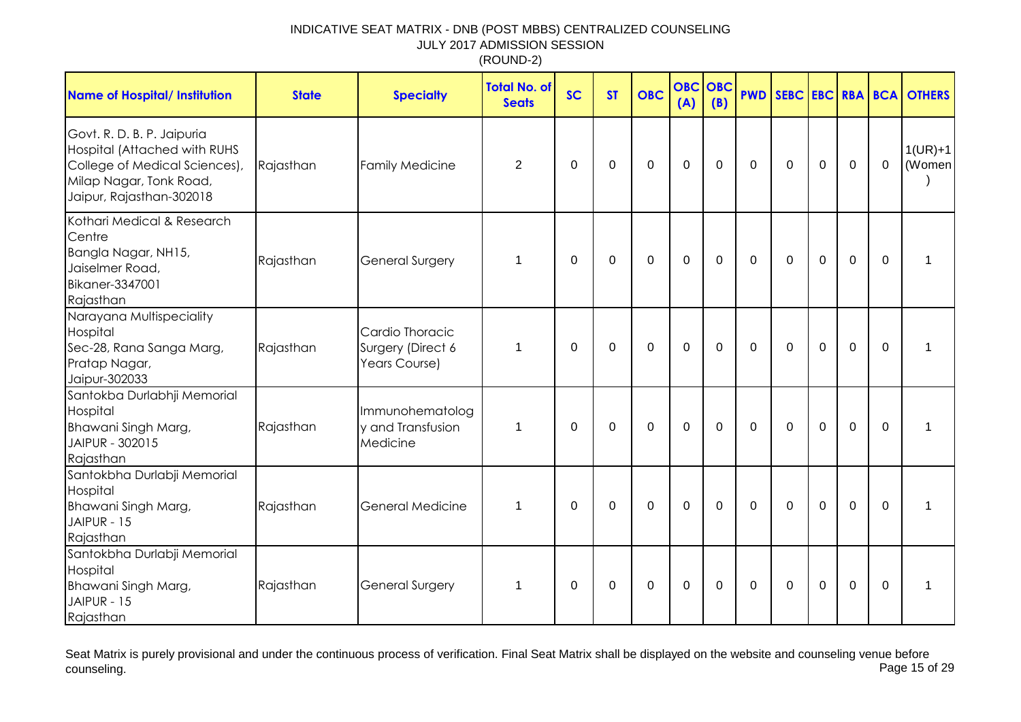| <b>Name of Hospital/ Institution</b>                                                                                                               | <b>State</b> | <b>Specialty</b>                                      | <b>Total No. of</b><br><b>Seats</b> | <b>SC</b>   | <b>ST</b> | <b>OBC</b>  | <b>OBC OBC</b><br>(A) | (B)          | <b>PWD</b>  |             |             |             |             | <b>SEBC EBC RBA BCA OTHERS</b> |
|----------------------------------------------------------------------------------------------------------------------------------------------------|--------------|-------------------------------------------------------|-------------------------------------|-------------|-----------|-------------|-----------------------|--------------|-------------|-------------|-------------|-------------|-------------|--------------------------------|
| Govt. R. D. B. P. Jaipuria<br>Hospital (Attached with RUHS<br>College of Medical Sciences),<br>Milap Nagar, Tonk Road,<br>Jaipur, Rajasthan-302018 | Rajasthan    | Family Medicine                                       | $\overline{2}$                      | 0           | 0         | $\Omega$    | $\Omega$              | $\mathbf{0}$ | $\Omega$    | $\Omega$    | 0           | 0           | $\mathbf 0$ | $1(UR)+1$<br>(Women            |
| Kothari Medical & Research<br>Centre<br>Bangla Nagar, NH15,<br>Jaiselmer Road,<br>Bikaner-3347001<br>Rajasthan                                     | Rajasthan    | <b>General Surgery</b>                                | $\mathbf 1$                         | $\mathbf 0$ | 0         | $\mathbf 0$ | $\mathbf 0$           | $\mathbf 0$  | $\mathbf 0$ | $\mathbf 0$ | $\mathbf 0$ | 0           | $\mathbf 0$ | 1                              |
| Narayana Multispeciality<br>Hospital<br>Sec-28, Rana Sanga Marg,<br>Pratap Nagar,<br>Jaipur-302033                                                 | Rajasthan    | Cardio Thoracic<br>Surgery (Direct 6<br>Years Course) | 1                                   | 0           | 0         | 0           | $\mathbf 0$           | $\mathbf 0$  | 0           | $\Omega$    | 0           | $\mathbf 0$ | $\mathbf 0$ | 1                              |
| Santokba Durlabhji Memorial<br>Hospital<br>Bhawani Singh Marg,<br>JAIPUR - 302015<br>Rajasthan                                                     | Rajasthan    | Immunohematolog<br>y and Transfusion<br>Medicine      | $\mathbf 1$                         | 0           | $\Omega$  | 0           | $\mathbf 0$           | 0            | $\Omega$    | 0           | $\mathbf 0$ | $\mathbf 0$ | 0           | 1                              |
| Santokbha Durlabji Memorial<br>Hospital<br>Bhawani Singh Marg,<br>JAIPUR - 15<br>Rajasthan                                                         | Rajasthan    | <b>General Medicine</b>                               | $\mathbf 1$                         | 0           | $\Omega$  | 0           | $\mathbf 0$           | 0            | $\mathbf 0$ | $\Omega$    | $\mathbf 0$ | 0           | $\mathbf 0$ | 1                              |
| Santokbha Durlabji Memorial<br>Hospital<br>Bhawani Singh Marg,<br>JAIPUR - 15<br>Rajasthan                                                         | Rajasthan    | <b>General Surgery</b>                                | -1                                  | 0           | $\Omega$  | $\Omega$    | $\mathbf 0$           | $\mathbf{0}$ | 0           | $\Omega$    | 0           | $\mathbf 0$ | $\mathbf 0$ | 1                              |

Seat Matrix is purely provisional and under the continuous process of verification. Final Seat Matrix shall be displayed on the website and counseling venue before<br>Page 15 of 29 counseling. Page 15 of 29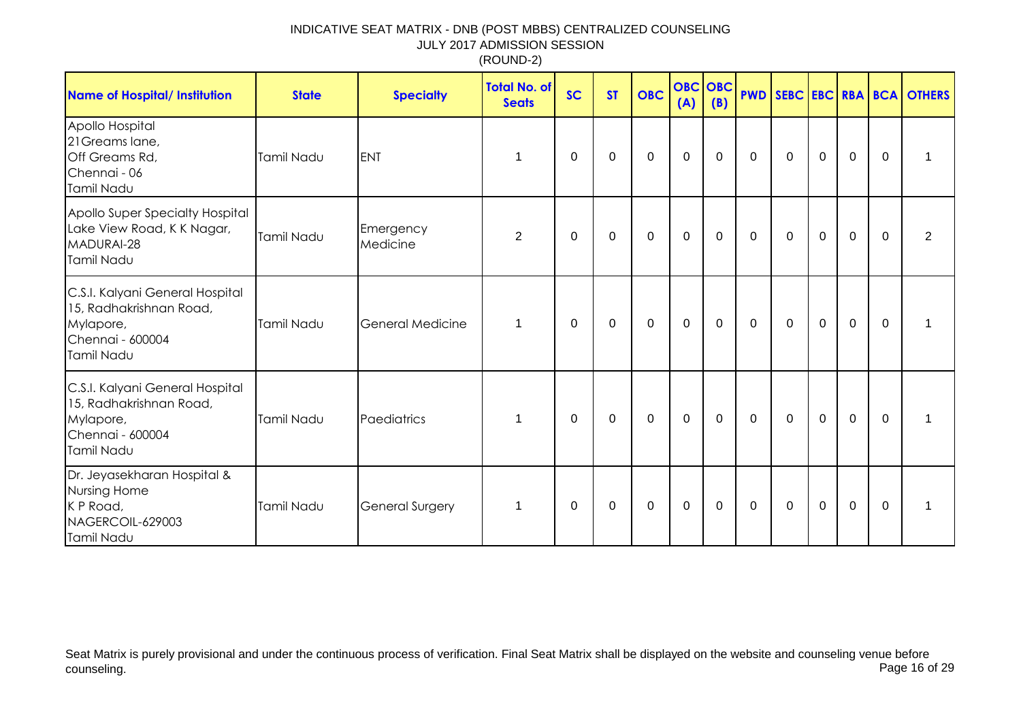| <b>Name of Hospital/ Institution</b>                                                                      | <b>State</b>      | <b>Specialty</b>        | <b>Total No. of</b><br><b>Seats</b> | <b>SC</b> | <b>ST</b>   | <b>OBC</b>  | <b>OBC</b> OBC<br>(A) | (B)         |             |              |             |             |             | <b>PWD SEBC EBC RBA BCA OTHERS</b> |
|-----------------------------------------------------------------------------------------------------------|-------------------|-------------------------|-------------------------------------|-----------|-------------|-------------|-----------------------|-------------|-------------|--------------|-------------|-------------|-------------|------------------------------------|
| Apollo Hospital<br>21 Greams lane,<br>Off Greams Rd,<br>Chennai - 06<br>Tamil Nadu                        | Tamil Nadu        | <b>ENT</b>              | 1                                   | 0         | $\mathbf 0$ | $\mathbf 0$ | $\mathbf 0$           | 0           | $\mathbf 0$ | 0            | $\mathbf 0$ | $\mathbf 0$ | $\mathbf 0$ |                                    |
| Apollo Super Specialty Hospital<br>Lake View Road, K K Nagar,<br>MADURAI-28<br><b>Tamil Nadu</b>          | <b>Tamil Nadu</b> | Emergency<br>Medicine   | $\overline{2}$                      | 0         | $\mathbf 0$ | $\mathbf 0$ | $\mathbf 0$           | $\mathbf 0$ | $\mathbf 0$ | $\mathbf 0$  | $\mathbf 0$ | $\mathbf 0$ | $\mathbf 0$ | 2                                  |
| C.S.I. Kalyani General Hospital<br>15, Radhakrishnan Road,<br>Mylapore,<br>Chennai - 600004<br>Tamil Nadu | Tamil Nadu        | <b>General Medicine</b> | $\mathbf 1$                         | 0         | 0           | $\mathbf 0$ | $\mathbf 0$           | 0           | $\mathbf 0$ | $\mathbf 0$  | $\mathbf 0$ | $\mathbf 0$ | 0           |                                    |
| C.S.I. Kalyani General Hospital<br>15, Radhakrishnan Road,<br>Mylapore,<br>Chennai - 600004<br>Tamil Nadu | Tamil Nadu        | Paediatrics             | 1                                   | $\Omega$  | 0           | $\mathbf 0$ | $\mathbf 0$           | 0           | $\mathbf 0$ | $\Omega$     | $\mathbf 0$ | $\mathbf 0$ | $\Omega$    |                                    |
| Dr. Jeyasekharan Hospital &<br>Nursing Home<br>K P Road,<br>NAGERCOIL-629003<br>Tamil Nadu                | Tamil Nadu        | <b>General Surgery</b>  | 1                                   | $\Omega$  | 0           | 0           | 0                     | 0           | 0           | $\mathbf{0}$ | $\mathbf 0$ | $\mathbf 0$ | $\Omega$    |                                    |

Seat Matrix is purely provisional and under the continuous process of verification. Final Seat Matrix shall be displayed on the website and counseling venue before<br>Page 16 of 29 counseling. Page 16 of 29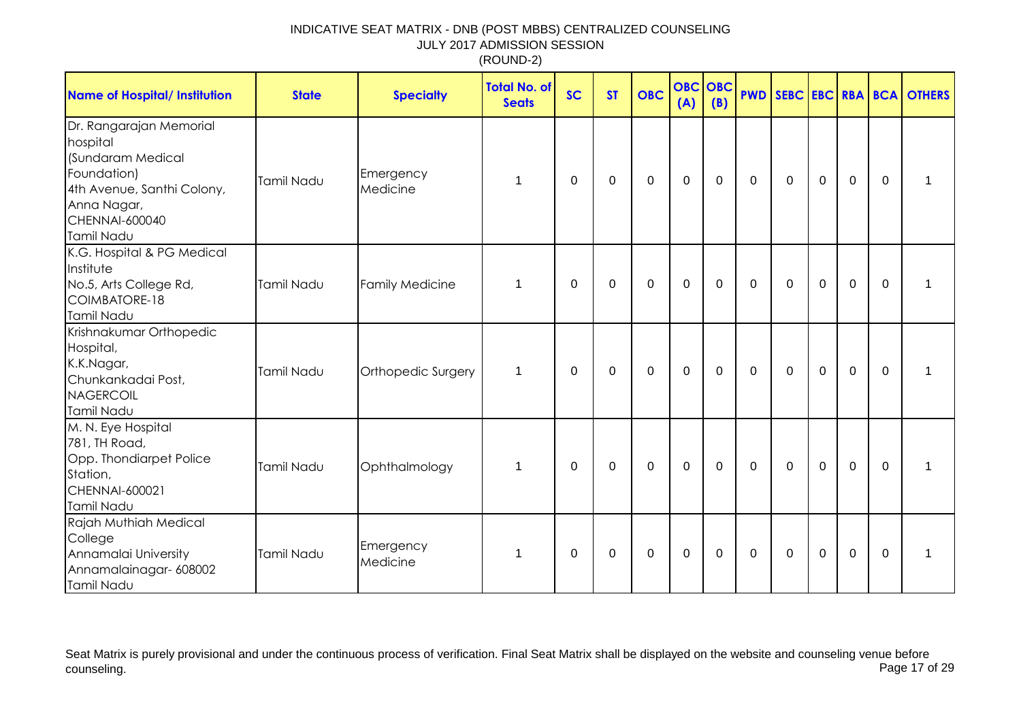| <b>Name of Hospital/ Institution</b>                                                                                                                        | <b>State</b> | <b>Specialty</b>       | <b>Total No. of</b><br><b>Seats</b> | <b>SC</b>   | <b>ST</b>   | <b>OBC</b> | <b>OBC OBC</b><br>(A) | (B)      |             |              |                |             |              | <b>PWD SEBC EBC RBA BCA OTHERS</b> |
|-------------------------------------------------------------------------------------------------------------------------------------------------------------|--------------|------------------------|-------------------------------------|-------------|-------------|------------|-----------------------|----------|-------------|--------------|----------------|-------------|--------------|------------------------------------|
| Dr. Rangarajan Memorial<br>hospital<br>(Sundaram Medical<br>Foundation)<br>4th Avenue, Santhi Colony,<br>Anna Nagar,<br><b>CHENNAI-600040</b><br>Tamil Nadu | Tamil Nadu   | Emergency<br>Medicine  | 1                                   | $\mathbf 0$ | $\mathbf 0$ | 0          | 0                     | 0        | $\mathbf 0$ | 0            | $\mathbf 0$    | 0           | 0            | 1                                  |
| K.G. Hospital & PG Medical<br>Institute<br>No.5, Arts College Rd,<br>COIMBATORE-18<br>Tamil Nadu                                                            | Tamil Nadu   | <b>Family Medicine</b> | 1                                   | 0           | 0           | 0          | 0                     | 0        | $\Omega$    | 0            | $\mathbf 0$    | $\mathbf 0$ | $\Omega$     | 1                                  |
| Krishnakumar Orthopedic<br>Hospital,<br>K.K.Nagar,<br>Chunkankadai Post,<br><b>NAGERCOIL</b><br>Tamil Nadu                                                  | Tamil Nadu   | Orthopedic Surgery     | 1                                   | 0           | 0           | 0          | 0                     | $\Omega$ | $\mathbf 0$ | $\mathbf{0}$ | 0              | $\mathbf 0$ | $\mathbf{0}$ | 1                                  |
| M. N. Eye Hospital<br>781, TH Road,<br>Opp. Thondiarpet Police<br>Station,<br>CHENNAI-600021<br>Tamil Nadu                                                  | Tamil Nadu   | Ophthalmology          | 1                                   | 0           | 0           | 0          | 0                     | 0        | $\mathbf 0$ | 0            | $\overline{0}$ | 0           | $\Omega$     | 1                                  |
| Rajah Muthiah Medical<br>College<br>Annamalai University<br>Annamalainagar- 608002<br>Tamil Nadu                                                            | Tamil Nadu   | Emergency<br>Medicine  | 1                                   | $\pmb{0}$   | $\mathbf 0$ | 0          | 0                     | 0        | $\mathbf 0$ | 0            | $\pmb{0}$      | $\mathbf 0$ | 0            | 1                                  |

Seat Matrix is purely provisional and under the continuous process of verification. Final Seat Matrix shall be displayed on the website and counseling venue before<br>Page 17 of 29 counseling. Page 17 of 29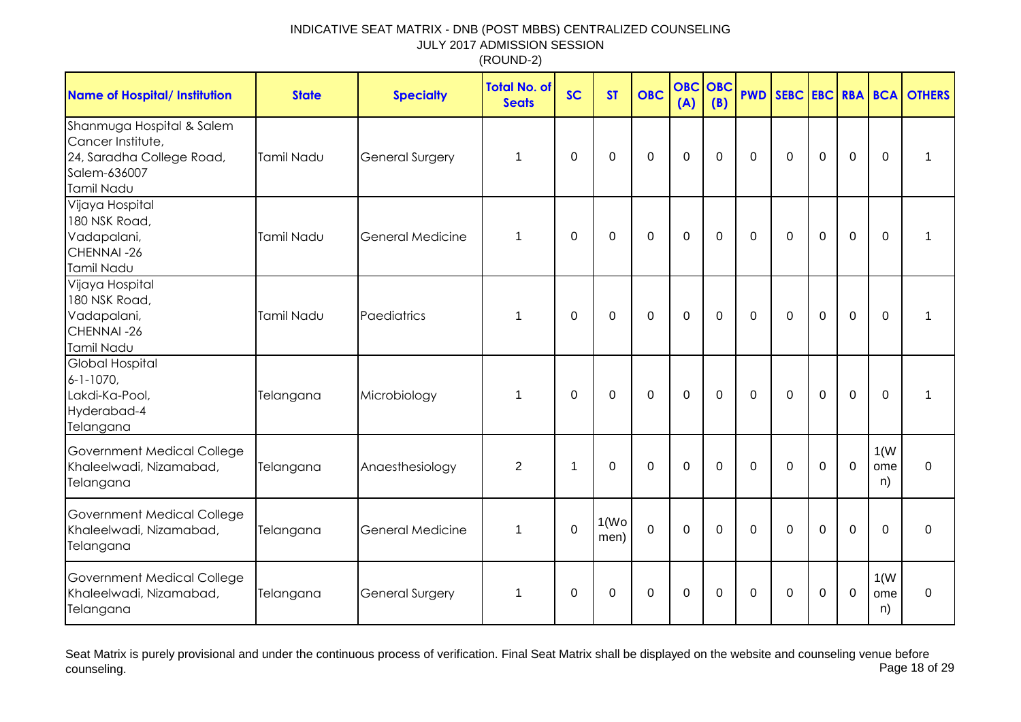| <b>Name of Hospital/ Institution</b>                                                                      | <b>State</b>      | <b>Specialty</b>        | <b>Total No. of</b><br><b>Seats</b> | <b>SC</b>   | <b>ST</b>                  | <b>OBC</b>     | <b>OBC</b><br>(A) | <b>OBC</b><br>(B) | <b>PWD</b>  | SEBC EBC RBA BCA |             |                |                   | <b>OTHERS</b> |
|-----------------------------------------------------------------------------------------------------------|-------------------|-------------------------|-------------------------------------|-------------|----------------------------|----------------|-------------------|-------------------|-------------|------------------|-------------|----------------|-------------------|---------------|
| Shanmuga Hospital & Salem<br>Cancer Institute,<br>24, Saradha College Road,<br>Salem-636007<br>Tamil Nadu | Tamil Nadu        | <b>General Surgery</b>  | $\mathbf 1$                         | $\mathbf 0$ | $\mathbf 0$                | $\mathbf 0$    | $\mathbf 0$       | $\mathbf 0$       | $\mathbf 0$ | $\mathbf 0$      | $\mathbf 0$ | $\mathbf 0$    | $\mathbf 0$       | 1             |
| Vijaya Hospital<br>180 NSK Road,<br>Vadapalani,<br>CHENNAI-26<br>Tamil Nadu                               | <b>Tamil Nadu</b> | <b>General Medicine</b> | 1                                   | $\Omega$    | $\mathbf 0$                | $\mathbf 0$    | $\overline{0}$    | $\overline{0}$    | $\Omega$    | $\mathbf 0$      | $\mathbf 0$ | $\overline{0}$ | $\Omega$          | 1             |
| Vijaya Hospital<br>180 NSK Road,<br>Vadapalani,<br>CHENNAI-26<br>Tamil Nadu                               | Tamil Nadu        | Paediatrics             | 1                                   | $\Omega$    | $\Omega$                   | $\mathbf 0$    | $\mathbf 0$       | $\overline{0}$    | $\Omega$    | $\Omega$         | $\mathbf 0$ | $\overline{0}$ | $\Omega$          | 1             |
| <b>Global Hospital</b><br>$6 - 1 - 1070$<br>Lakdi-Ka-Pool,<br>Hyderabad-4<br>Telangana                    | Telangana         | Microbiology            | 1                                   | $\mathbf 0$ | $\mathbf 0$                | $\mathbf 0$    | $\mathbf 0$       | $\mathbf 0$       | $\mathbf 0$ | $\mathbf 0$      | $\mathbf 0$ | $\overline{0}$ | $\mathbf 0$       | 1             |
| <b>Government Medical College</b><br>Khaleelwadi, Nizamabad,<br>Telangana                                 | Telangana         | Anaesthesiology         | $\overline{2}$                      | -1          | $\mathbf 0$                | 0              | $\mathbf 0$       | $\Omega$          | $\mathbf 0$ | $\mathbf 0$      | $\mathbf 0$ | $\mathbf 0$    | 1(W)<br>ome<br>n) | $\mathbf 0$   |
| Government Medical College<br>Khaleelwadi, Nizamabad,<br>Telangana                                        | Telangana         | <b>General Medicine</b> | 1                                   | $\Omega$    | 1(W <sub>O</sub> )<br>men) | $\overline{0}$ | $\overline{0}$    | $\Omega$          | $\Omega$    | $\Omega$         | $\Omega$    | $\overline{0}$ | $\Omega$          | $\mathbf 0$   |
| Government Medical College<br>Khaleelwadi, Nizamabad,<br>Telangana                                        | Telangana         | <b>General Surgery</b>  | $\mathbf 1$                         | $\Omega$    | 0                          | $\mathbf 0$    | $\mathbf 0$       | $\Omega$          | 0           | $\mathbf{0}$     | 0           | $\mathbf 0$    | 1(W)<br>ome<br>n) | $\mathbf 0$   |

Seat Matrix is purely provisional and under the continuous process of verification. Final Seat Matrix shall be displayed on the website and counseling venue before<br>Page 18 of 29 counseling. Page 18 of 29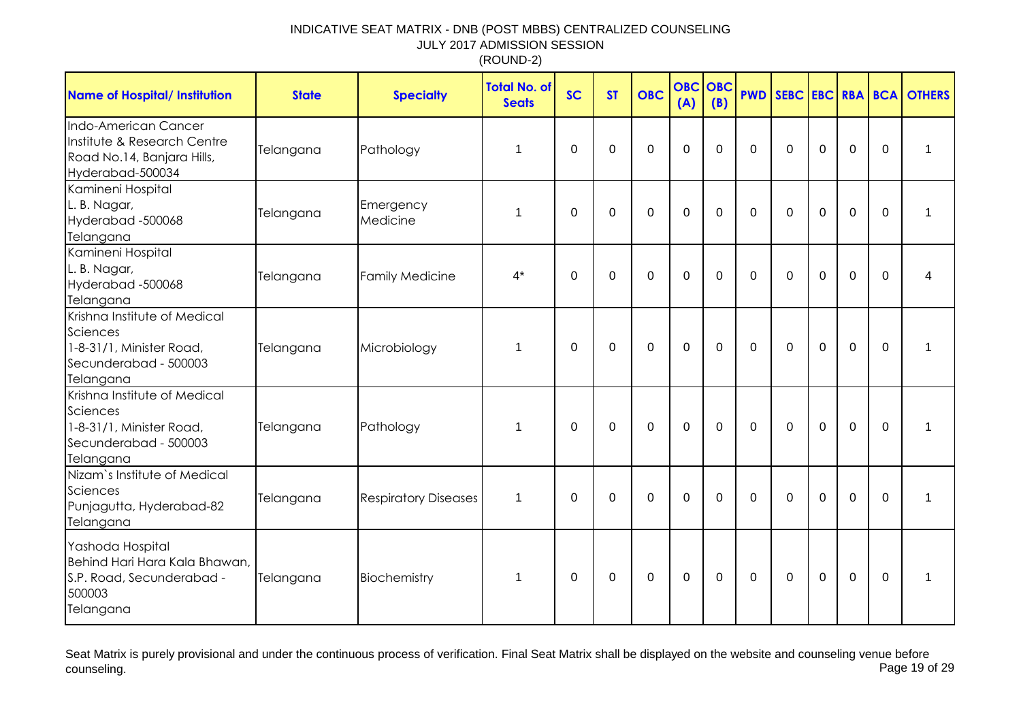| <b>Name of Hospital/ Institution</b>                                                                       | <b>State</b> | <b>Specialty</b>            | <b>Total No. of</b><br><b>Seats</b> | <b>SC</b>        | <b>ST</b>   | <b>OBC</b>  | <b>OBC</b><br>(A) | OBC<br>(B)   |             |             |             |             |                | <b>PWD SEBC EBC RBA BCA OTHERS</b> |
|------------------------------------------------------------------------------------------------------------|--------------|-----------------------------|-------------------------------------|------------------|-------------|-------------|-------------------|--------------|-------------|-------------|-------------|-------------|----------------|------------------------------------|
| Indo-American Cancer<br>Institute & Research Centre<br>Road No.14, Banjara Hills,<br>Hyderabad-500034      | Telangana    | Pathology                   | 1                                   | $\mathbf 0$      | 0           | 0           | $\overline{0}$    | $\mathbf{0}$ | $\mathbf 0$ | $\mathbf 0$ | $\mathbf 0$ | $\mathbf 0$ | $\mathbf 0$    | 1                                  |
| Kamineni Hospital<br>L. B. Nagar,<br>Hyderabad-500068<br>Telangana                                         | Telangana    | Emergency<br>Medicine       | 1                                   | $\mathbf 0$      | $\Omega$    | $\Omega$    | $\mathbf 0$       | $\Omega$     | $\Omega$    | $\Omega$    | $\mathbf 0$ | $\mathbf 0$ | $\overline{0}$ | 1                                  |
| Kamineni Hospital<br>L. B. Nagar,<br>Hyderabad -500068<br>Telangana                                        | Telangana    | <b>Family Medicine</b>      | $4^*$                               | $\mathbf 0$      | $\mathbf 0$ | 0           | $\mathbf 0$       | $\mathbf 0$  | $\mathbf 0$ | $\mathbf 0$ | $\mathbf 0$ | $\mathbf 0$ | $\mathbf 0$    | 4                                  |
| Krishna Institute of Medical<br>Sciences<br>1-8-31/1, Minister Road,<br>Secunderabad - 500003<br>Telangana | Telangana    | Microbiology                | 1                                   | $\boldsymbol{0}$ | $\mathbf 0$ | $\mathbf 0$ | $\mathbf 0$       | $\mathbf 0$  | $\mathbf 0$ | $\mathbf 0$ | $\mathbf 0$ | $\mathbf 0$ | $\mathbf 0$    | 1                                  |
| Krishna Institute of Medical<br>Sciences<br>1-8-31/1, Minister Road,<br>Secunderabad - 500003<br>Telangana | Telangana    | Pathology                   | 1                                   | $\mathbf 0$      | $\mathbf 0$ | 0           | $\mathbf 0$       | $\mathbf 0$  | $\mathbf 0$ | $\mathbf 0$ | $\mathbf 0$ | $\mathbf 0$ | $\mathbf 0$    | 1                                  |
| Nizam's Institute of Medical<br>Sciences<br>Punjagutta, Hyderabad-82<br>Telangana                          | Telangana    | <b>Respiratory Diseases</b> | 1                                   | $\mathbf 0$      | $\mathbf 0$ | 0           | $\mathbf 0$       | $\mathbf 0$  | $\mathbf 0$ | $\mathbf 0$ | $\mathbf 0$ | $\mathbf 0$ | $\mathbf 0$    | 1                                  |
| Yashoda Hospital<br>Behind Hari Hara Kala Bhawan,<br>S.P. Road, Secunderabad -<br>500003<br>Telangana      | Telangana    | Biochemistry                | 1                                   | $\mathbf 0$      | $\mathbf 0$ | 0           | $\mathbf 0$       | $\mathbf 0$  | $\mathbf 0$ | $\mathbf 0$ | $\mathbf 0$ | $\mathbf 0$ | $\mathbf 0$    | 1                                  |

Seat Matrix is purely provisional and under the continuous process of verification. Final Seat Matrix shall be displayed on the website and counseling venue before<br>Page 19 of 29 counseling. Page 19 of 29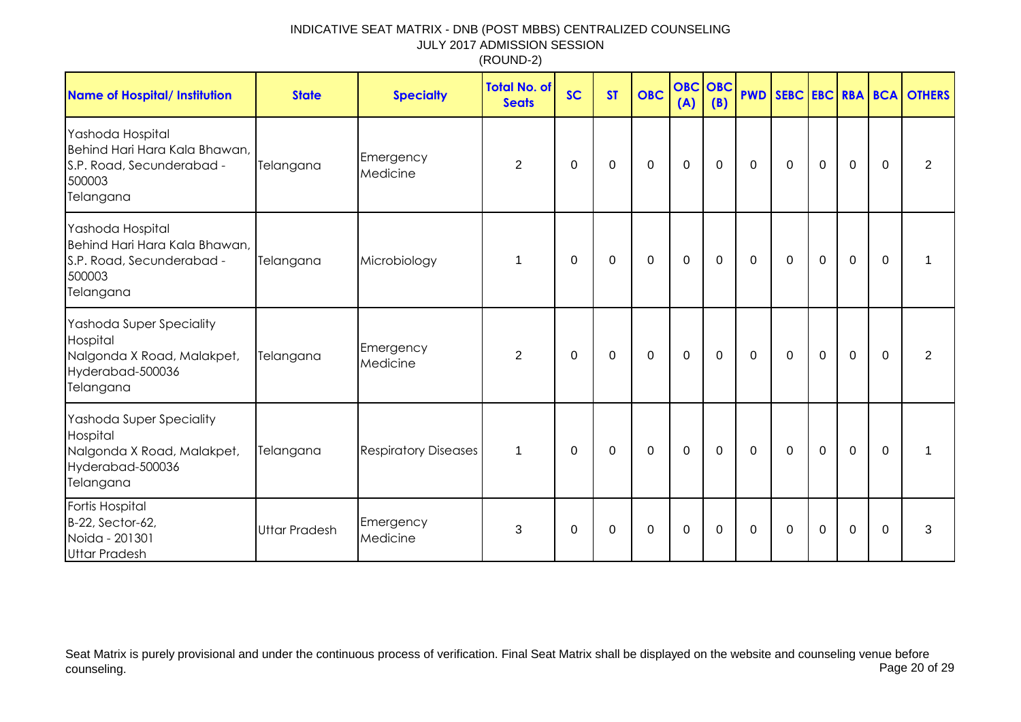| <b>Name of Hospital/ Institution</b>                                                                  | <b>State</b>         | <b>Specialty</b>            | <b>Total No. of</b><br><b>Seats</b> | <b>SC</b>   | <b>ST</b>   | <b>OBC</b>       | <b>OBC</b><br>(A) | OBC<br>(B)  | <b>PWD</b>   |              |             |                |             | SEBC EBC RBA BCA OTHERS |
|-------------------------------------------------------------------------------------------------------|----------------------|-----------------------------|-------------------------------------|-------------|-------------|------------------|-------------------|-------------|--------------|--------------|-------------|----------------|-------------|-------------------------|
| Yashoda Hospital<br>Behind Hari Hara Kala Bhawan,<br>S.P. Road, Secunderabad -<br>500003<br>Telangana | Telangana            | Emergency<br>Medicine       | 2                                   | $\Omega$    | $\Omega$    | $\mathbf 0$      | $\mathbf 0$       | $\Omega$    | $\mathbf{0}$ | $\mathbf{0}$ | $\mathbf 0$ | $\overline{0}$ | $\Omega$    | $\overline{2}$          |
| Yashoda Hospital<br>Behind Hari Hara Kala Bhawan,<br>S.P. Road, Secunderabad -<br>500003<br>Telangana | Telangana            | Microbiology                | 1                                   | $\Omega$    | 0           | $\mathbf 0$      | $\mathbf 0$       | $\mathbf 0$ | $\mathbf 0$  | $\mathbf 0$  | $\mathbf 0$ | $\mathbf 0$    | $\Omega$    |                         |
| Yashoda Super Speciality<br>Hospital<br>Nalgonda X Road, Malakpet,<br>Hyderabad-500036<br>Telangana   | Telangana            | Emergency<br>Medicine       | 2                                   | $\Omega$    | $\mathbf 0$ | $\mathbf 0$      | $\mathbf 0$       | $\mathbf 0$ | $\mathbf 0$  | $\mathbf 0$  | $\mathbf 0$ | $\overline{0}$ | $\Omega$    | $\overline{2}$          |
| Yashoda Super Speciality<br>Hospital<br>Nalgonda X Road, Malakpet,<br>Hyderabad-500036<br>Telangana   | Telangana            | <b>Respiratory Diseases</b> | $\mathbf 1$                         | 0           | 0           | $\boldsymbol{0}$ | $\mathbf 0$       | 0           | 0            | 0            | $\mathbf 0$ | $\mathbf 0$    | $\Omega$    |                         |
| Fortis Hospital<br>B-22, Sector-62,<br>Noida - 201301<br><b>Uttar Pradesh</b>                         | <b>Uttar Pradesh</b> | Emergency<br>Medicine       | 3                                   | $\mathbf 0$ | $\mathbf 0$ | $\mathbf 0$      | $\mathbf 0$       | $\mathbf 0$ | $\mathbf 0$  | $\mathbf 0$  | $\mathbf 0$ | $\mathbf 0$    | $\mathbf 0$ | 3                       |

Seat Matrix is purely provisional and under the continuous process of verification. Final Seat Matrix shall be displayed on the website and counseling venue before<br>Page 20 of 29 counseling. Page 20 of 29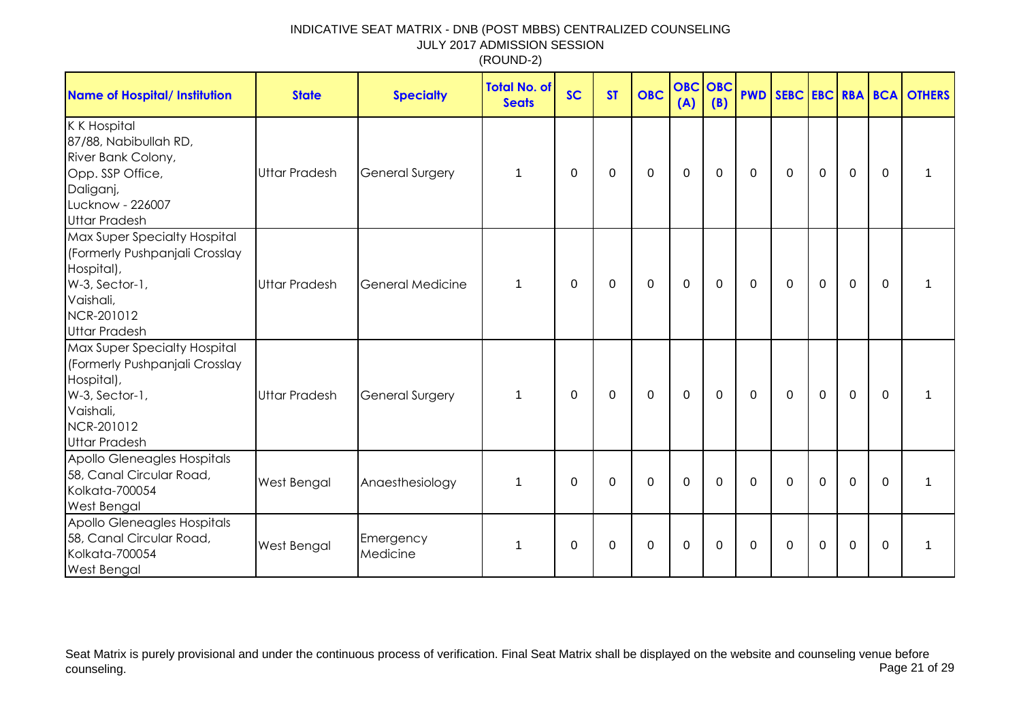| <b>Name of Hospital/ Institution</b>                                                                                                              | <b>State</b>         | <b>Specialty</b>      | <b>Total No. of</b><br><b>Seats</b> | <b>SC</b>    | <b>ST</b> | <b>OBC</b>  | <b>OBC</b><br>(A) | <b>OBC</b><br>(B) |              |             |             |                |              | <b>PWD SEBC EBC RBA BCA OTHERS</b> |
|---------------------------------------------------------------------------------------------------------------------------------------------------|----------------------|-----------------------|-------------------------------------|--------------|-----------|-------------|-------------------|-------------------|--------------|-------------|-------------|----------------|--------------|------------------------------------|
| <b>K K Hospital</b><br>87/88, Nabibullah RD,<br>River Bank Colony,<br>Opp. SSP Office,<br>Daliganj,<br>Lucknow - 226007<br><b>Uttar Pradesh</b>   | <b>Uttar Pradesh</b> | General Surgery       | 1                                   | $\Omega$     | 0         | $\mathbf 0$ | $\mathbf 0$       | $\Omega$          | $\mathbf 0$  | $\mathbf 0$ | $\mathbf 0$ | $\overline{0}$ | $\Omega$     | 1                                  |
| Max Super Specialty Hospital<br>(Formerly Pushpanjali Crosslay<br>Hospital),<br>W-3, Sector-1,<br>Vaishali,<br>NCR-201012<br><b>Uttar Pradesh</b> | <b>Uttar Pradesh</b> | General Medicine      | 1                                   | $\mathbf{0}$ | 0         | 0           | $\mathbf 0$       | 0                 | $\mathbf 0$  | 0           | 0           | $\mathbf 0$    | $\mathbf{0}$ | 1                                  |
| Max Super Specialty Hospital<br>(Formerly Pushpanjali Crosslay<br>Hospital),<br>W-3, Sector-1,<br>Vaishali,<br>NCR-201012<br><b>Uttar Pradesh</b> | <b>Uttar Pradesh</b> | General Surgery       | $\mathbf 1$                         | $\mathbf{0}$ | 0         | $\mathbf 0$ | $\mathbf 0$       | $\mathbf 0$       | $\mathbf{0}$ | $\mathbf 0$ | $\mathbf 0$ | $\mathbf 0$    | $\mathbf{0}$ | 1                                  |
| Apollo Gleneagles Hospitals<br>58, Canal Circular Road,<br>Kolkata-700054<br><b>West Bengal</b>                                                   | <b>West Bengal</b>   | Anaesthesiology       | 1                                   | $\mathbf{0}$ | $\Omega$  | $\Omega$    | $\mathbf{0}$      | $\Omega$          | $\Omega$     | $\Omega$    | $\Omega$    | $\Omega$       | $\Omega$     | 1                                  |
| Apollo Gleneagles Hospitals<br>58, Canal Circular Road,<br>Kolkata-700054<br>West Bengal                                                          | <b>West Bengal</b>   | Emergency<br>Medicine | $\mathbf 1$                         | $\mathbf{0}$ | 0         | 0           | $\mathbf 0$       | $\Omega$          | $\mathbf{0}$ | $\Omega$    | 0           | $\mathbf 0$    | $\Omega$     | 1                                  |

Seat Matrix is purely provisional and under the continuous process of verification. Final Seat Matrix shall be displayed on the website and counseling venue before<br>Page 21 of 29 counseling. Page 21 of 29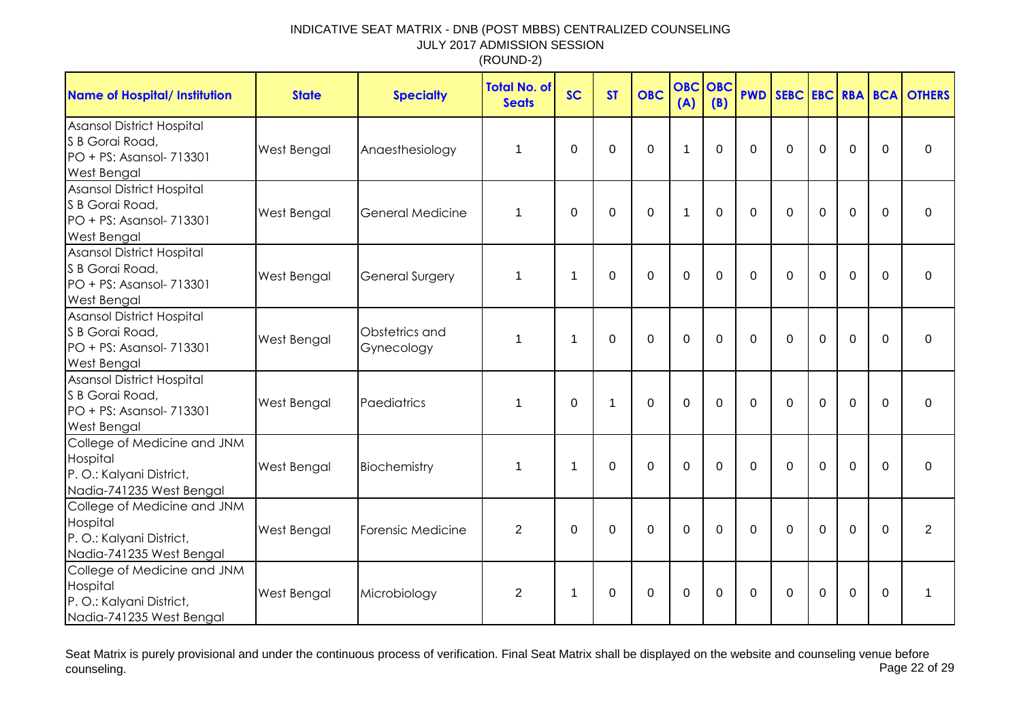| <b>Name of Hospital/ Institution</b>                                                                  | <b>State</b>       | <b>Specialty</b>             | <b>Total No. of</b><br><b>Seats</b> | <b>SC</b>   | <b>ST</b> | <b>OBC</b> | <b>OBC</b><br>(A) | OBC<br>(B) |          |          |             |              |             | <b>PWD SEBC EBC RBA BCA OTHERS</b> |
|-------------------------------------------------------------------------------------------------------|--------------------|------------------------------|-------------------------------------|-------------|-----------|------------|-------------------|------------|----------|----------|-------------|--------------|-------------|------------------------------------|
| Asansol District Hospital<br>S B Gorai Road,<br>PO + PS: Asansol- 713301<br>West Bengal               | West Bengal        | Anaesthesiology              | 1                                   | $\Omega$    | $\Omega$  | $\Omega$   | $\mathbf{1}$      | $\Omega$   | $\Omega$ | $\Omega$ | $\Omega$    | $\mathbf 0$  | $\Omega$    | $\mathbf{0}$                       |
| Asansol District Hospital<br>S B Gorai Road,<br>PO + PS: Asansol- 713301<br><b>West Bengal</b>        | West Bengal        | General Medicine             | 1                                   | $\mathbf 0$ | $\Omega$  | $\Omega$   | $\mathbf{1}$      | $\Omega$   | $\Omega$ | $\Omega$ | $\Omega$    | $\mathbf 0$  | $\Omega$    | $\Omega$                           |
| <b>Asansol District Hospital</b><br>S B Gorai Road,<br>PO + PS: Asansol- 713301<br><b>West Bengal</b> | West Bengal        | <b>General Surgery</b>       | 1                                   | $\mathbf 1$ | $\Omega$  | $\Omega$   | $\mathbf 0$       | $\Omega$   | $\Omega$ | $\Omega$ | $\mathbf 0$ | $\mathbf{0}$ | $\Omega$    | $\Omega$                           |
| <b>Asansol District Hospital</b><br>S B Gorai Road,<br>PO + PS: Asansol- 713301<br><b>West Bengal</b> | West Bengal        | Obstetrics and<br>Gynecology | 1                                   | $\mathbf 1$ | $\Omega$  | $\Omega$   | $\Omega$          | $\Omega$   | $\Omega$ | $\Omega$ | $\Omega$    | $\mathbf 0$  | $\mathbf 0$ | $\Omega$                           |
| Asansol District Hospital<br>S B Gorai Road,<br>PO + PS: Asansol- 713301<br>West Bengal               | West Bengal        | Paediatrics                  | 1                                   | $\mathbf 0$ | 1         | $\Omega$   | $\Omega$          | $\Omega$   | $\Omega$ | $\Omega$ | $\Omega$    | $\mathbf 0$  | $\Omega$    | $\overline{0}$                     |
| College of Medicine and JNM<br>Hospital<br>P.O.: Kalyani District,<br>Nadia-741235 West Bengal        | West Bengal        | Biochemistry                 | 1                                   | $\mathbf 1$ | $\Omega$  | 0          | $\mathbf 0$       | $\Omega$   | $\Omega$ | $\Omega$ | $\Omega$    | $\Omega$     | $\Omega$    | $\Omega$                           |
| College of Medicine and JNM<br>Hospital<br>P.O.: Kalyani District,<br>Nadia-741235 West Bengal        | West Bengal        | Forensic Medicine            | $\overline{2}$                      | $\Omega$    | $\Omega$  | 0          | $\mathbf 0$       | $\Omega$   | $\Omega$ | $\Omega$ | $\Omega$    | $\mathbf 0$  | $\Omega$    | $\overline{2}$                     |
| College of Medicine and JNM<br>Hospital<br>P.O.: Kalyani District,<br>Nadia-741235 West Bengal        | <b>West Bengal</b> | Microbiology                 | $\overline{2}$                      | 1           | $\Omega$  | $\Omega$   | $\mathbf 0$       | $\Omega$   | $\Omega$ | $\Omega$ | $\Omega$    | $\mathbf 0$  | $\mathbf 0$ | 1                                  |

Seat Matrix is purely provisional and under the continuous process of verification. Final Seat Matrix shall be displayed on the website and counseling venue before<br>Page 22 of 29 counseling. Page 22 of 29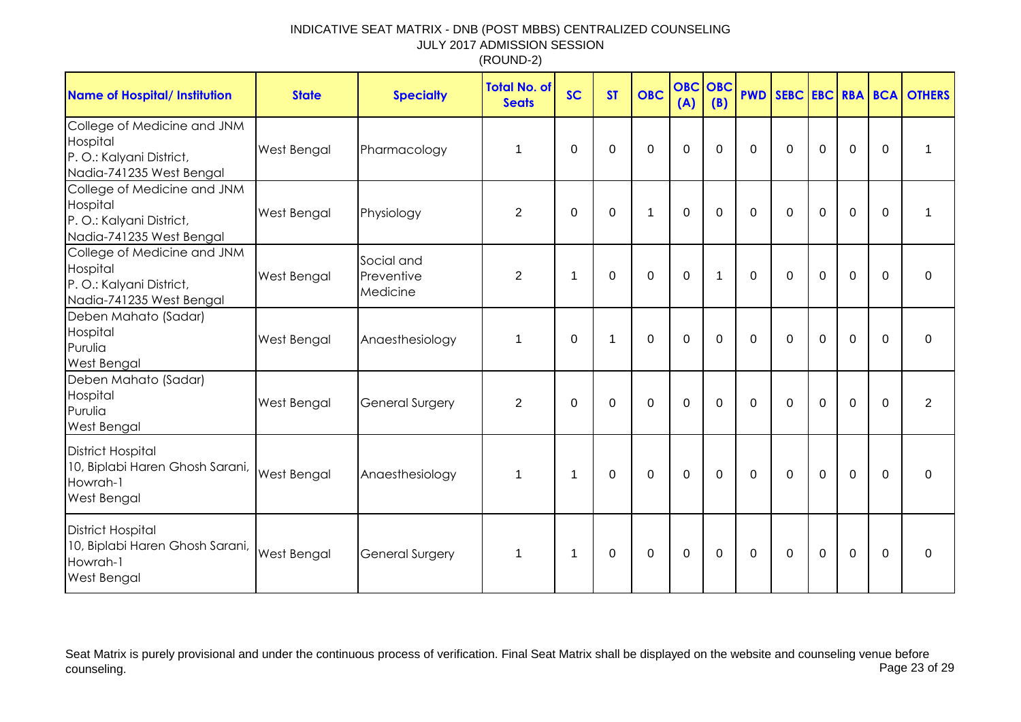| <b>Name of Hospital/ Institution</b>                                                            | <b>State</b> | <b>Specialty</b>                     | <b>Total No. of</b><br><b>Seats</b> | <b>SC</b>   | <b>ST</b>   | <b>OBC</b>   | <b>OBC</b><br>(A) | <b>OBC</b><br>(B) |             |             |             |             |             | <b>PWD SEBC EBC RBA BCA OTHERS</b> |
|-------------------------------------------------------------------------------------------------|--------------|--------------------------------------|-------------------------------------|-------------|-------------|--------------|-------------------|-------------------|-------------|-------------|-------------|-------------|-------------|------------------------------------|
| College of Medicine and JNM<br>Hospital<br>P. O.: Kalyani District,<br>Nadia-741235 West Bengal | West Bengal  | Pharmacology                         | 1                                   | $\Omega$    | $\Omega$    | $\Omega$     | $\overline{0}$    | $\Omega$          | $\Omega$    | $\Omega$    | $\Omega$    | $\mathbf 0$ | $\Omega$    | 1                                  |
| College of Medicine and JNM<br>Hospital<br>P. O.: Kalyani District,<br>Nadia-741235 West Bengal | West Bengal  | Physiology                           | $\overline{2}$                      | $\mathbf 0$ | $\mathbf 0$ | $\mathbf{1}$ | $\mathbf 0$       | $\overline{0}$    | $\mathbf 0$ | $\mathbf 0$ | $\mathbf 0$ | $\mathbf 0$ | $\mathbf 0$ | 1                                  |
| College of Medicine and JNM<br>Hospital<br>P. O.: Kalyani District,<br>Nadia-741235 West Bengal | West Bengal  | Social and<br>Preventive<br>Medicine | $\overline{2}$                      | 1           | $\mathbf 0$ | $\mathbf 0$  | $\mathbf 0$       | $\mathbf 1$       | $\mathbf 0$ | $\Omega$    | $\mathbf 0$ | $\mathbf 0$ | $\Omega$    | $\Omega$                           |
| Deben Mahato (Sadar)<br>Hospital<br>Purulia<br>West Bengal                                      | West Bengal  | Anaesthesiology                      | 1                                   | $\mathbf 0$ | 1           | $\mathbf 0$  | $\mathbf 0$       | 0                 | $\mathbf 0$ | $\mathbf 0$ | $\mathbf 0$ | $\mathbf 0$ | $\mathbf 0$ | 0                                  |
| Deben Mahato (Sadar)<br>Hospital<br>Purulia<br><b>West Bengal</b>                               | West Bengal  | <b>General Surgery</b>               | $\overline{2}$                      | $\Omega$    | 0           | $\mathbf 0$  | $\mathbf 0$       | $\Omega$          | $\Omega$    | $\Omega$    | 0           | $\mathbf 0$ | $\Omega$    | $\overline{2}$                     |
| <b>District Hospital</b><br>10, Biplabi Haren Ghosh Sarani,<br>Howrah-1<br>West Bengal          | West Bengal  | Anaesthesiology                      | 1                                   | $\mathbf 1$ | $\mathbf 0$ | $\mathbf 0$  | $\mathbf 0$       | $\mathbf 0$       | $\mathbf 0$ | $\mathbf 0$ | $\mathbf 0$ | $\mathbf 0$ | $\mathbf 0$ | $\Omega$                           |
| <b>District Hospital</b><br>10, Biplabi Haren Ghosh Sarani,<br>Howrah-1<br>West Bengal          | West Bengal  | <b>General Surgery</b>               | 1                                   | $\mathbf 1$ | 0           | $\mathbf 0$  | $\mathbf 0$       | 0                 | $\mathbf 0$ | $\Omega$    | $\mathbf 0$ | $\mathbf 0$ | $\Omega$    | $\mathbf 0$                        |

Seat Matrix is purely provisional and under the continuous process of verification. Final Seat Matrix shall be displayed on the website and counseling venue before<br>Page 23 of 29 counseling. Page 23 of 29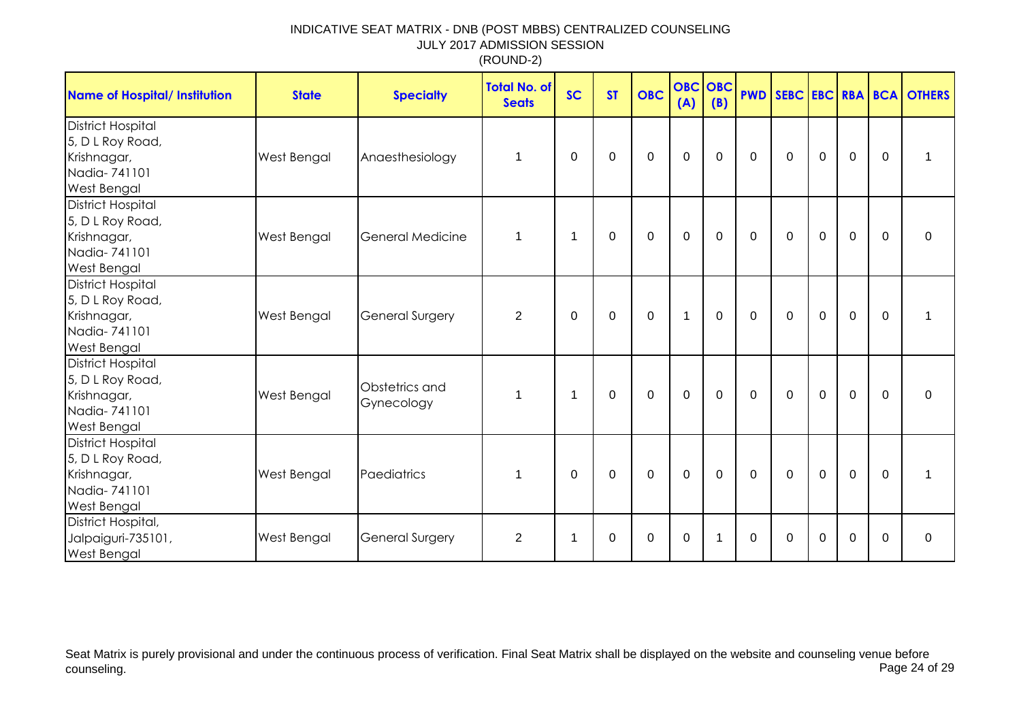| Name of Hospital/ Institution                                                                     | <b>State</b> | <b>Specialty</b>             | Total No. of<br><b>Seats</b> | <b>SC</b>   | <b>ST</b>   | <b>OBC</b>     | <b>OBC</b><br>(A) | <b>OBC</b><br>(B) | <b>PWD</b>     |              |                |                |                | SEBC EBC RBA BCA OTHERS |
|---------------------------------------------------------------------------------------------------|--------------|------------------------------|------------------------------|-------------|-------------|----------------|-------------------|-------------------|----------------|--------------|----------------|----------------|----------------|-------------------------|
| <b>District Hospital</b><br>5, D L Roy Road,<br>Krishnagar,<br>Nadia-741101<br><b>West Bengal</b> | West Bengal  | Anaesthesiology              | 1                            | $\Omega$    | $\mathbf 0$ | $\overline{0}$ | $\mathbf{0}$      | $\mathbf 0$       | $\overline{0}$ | $\Omega$     | $\overline{0}$ | $\overline{0}$ | $\mathbf 0$    | 1                       |
| <b>District Hospital</b><br>5, D L Roy Road,<br>Krishnagar,<br>Nadia-741101<br><b>West Bengal</b> | West Bengal  | General Medicine             | 1                            | -1          | $\Omega$    | $\mathbf 0$    | $\mathbf 0$       | $\mathbf 0$       | $\mathbf 0$    | $\mathbf 0$  | $\mathbf 0$    | 0              | $\Omega$       | $\mathbf 0$             |
| <b>District Hospital</b><br>5, D L Roy Road,<br>Krishnagar,<br>Nadia-741101<br>West Bengal        | West Bengal  | <b>General Surgery</b>       | $\overline{2}$               | $\mathbf 0$ | $\mathbf 0$ | $\mathbf 0$    | $\mathbf{1}$      | $\mathbf 0$       | $\mathbf 0$    | $\mathbf 0$  | $\overline{0}$ | 0              | $\Omega$       | 1                       |
| <b>District Hospital</b><br>5, D L Roy Road,<br>Krishnagar,<br>Nadia-741101<br>West Bengal        | West Bengal  | Obstetrics and<br>Gynecology | 1                            | 1           | 0           | $\pmb{0}$      | $\mathbf 0$       | $\mathbf 0$       | $\mathbf 0$    | $\mathbf 0$  | $\mathbf 0$    | 0              | $\mathbf 0$    | 0                       |
| <b>District Hospital</b><br>5, D L Roy Road,<br>Krishnagar,<br>Nadia-741101<br>West Bengal        | West Bengal  | Paediatrics                  | 1                            | $\mathbf 0$ | $\mathbf 0$ | $\mathbf 0$    | $\mathbf 0$       | $\overline{0}$    | $\overline{0}$ | $\mathbf{0}$ | $\mathbf 0$    | $\overline{0}$ | $\overline{0}$ | 1                       |
| District Hospital,<br>Jalpaiguri-735101,<br><b>West Bengal</b>                                    | West Bengal  | <b>General Surgery</b>       | $\overline{2}$               | -1          | $\Omega$    | $\Omega$       | 0                 | 1                 | $\Omega$       | $\mathbf{0}$ | $\Omega$       | $\mathbf 0$    | $\Omega$       | $\mathbf 0$             |

Seat Matrix is purely provisional and under the continuous process of verification. Final Seat Matrix shall be displayed on the website and counseling venue before<br>Page 24 of 29 counseling. Page 24 of 29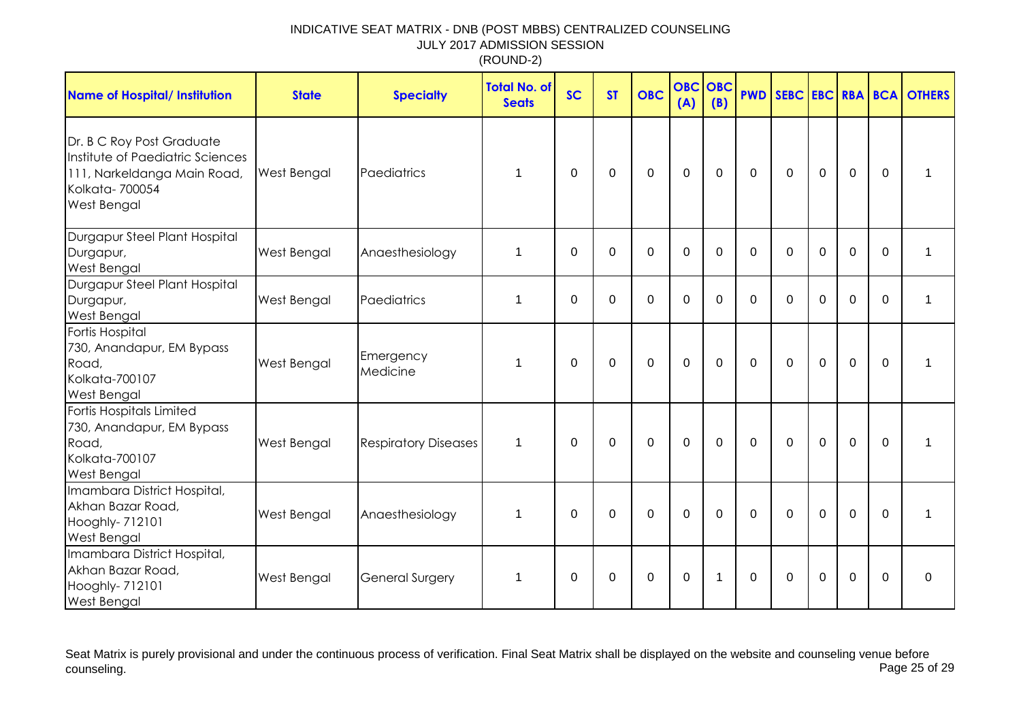| <b>Name of Hospital/ Institution</b>                                                                                                 | <b>State</b>       | <b>Specialty</b>            | <b>Total No. of</b><br><b>Seats</b> | <b>SC</b>   | <b>ST</b>   | <b>OBC</b>  | <b>OBC</b><br>(A) | OBC<br>(B)     |              |              |                |                |          | <b>PWD SEBC EBC RBA BCA OTHERS</b> |
|--------------------------------------------------------------------------------------------------------------------------------------|--------------------|-----------------------------|-------------------------------------|-------------|-------------|-------------|-------------------|----------------|--------------|--------------|----------------|----------------|----------|------------------------------------|
| Dr. B C Roy Post Graduate<br>Institute of Paediatric Sciences<br>111, Narkeldanga Main Road,<br>Kolkata-700054<br><b>West Bengal</b> | West Bengal        | Paediatrics                 | 1                                   | $\Omega$    | $\Omega$    | $\mathbf 0$ | $\mathbf 0$       | $\Omega$       | $\Omega$     | $\Omega$     | $\overline{0}$ | $\Omega$       | $\Omega$ |                                    |
| Durgapur Steel Plant Hospital<br>Durgapur,<br><b>West Bengal</b>                                                                     | <b>West Bengal</b> | Anaesthesiology             | 1                                   | $\mathbf 0$ | $\mathbf 0$ | 0           | $\mathbf 0$       | $\Omega$       | $\Omega$     | $\Omega$     | $\Omega$       | 0              | $\Omega$ |                                    |
| Durgapur Steel Plant Hospital<br>Durgapur,<br><b>West Bengal</b>                                                                     | West Bengal        | Paediatrics                 | 1                                   | 0           | 0           | $\mathbf 0$ | $\mathbf 0$       | $\Omega$       | $\mathbf{0}$ | $\mathbf{0}$ | $\mathbf 0$    | $\mathbf 0$    | $\Omega$ | 1                                  |
| <b>Fortis Hospital</b><br>730, Anandapur, EM Bypass<br>Road,<br>Kolkata-700107<br><b>West Bengal</b>                                 | West Bengal        | Emergency<br>Medicine       | 1                                   | $\Omega$    | 0           | $\mathbf 0$ | $\overline{0}$    | $\Omega$       | $\mathbf 0$  | $\mathbf{0}$ | $\mathbf 0$    | $\overline{0}$ | $\Omega$ | 1                                  |
| Fortis Hospitals Limited<br>730, Anandapur, EM Bypass<br>Road,<br>Kolkata-700107<br><b>West Bengal</b>                               | <b>West Bengal</b> | <b>Respiratory Diseases</b> | $\mathbf 1$                         | $\Omega$    | $\mathbf 0$ | $\mathbf 0$ | $\mathbf 0$       | $\mathbf 0$    | $\Omega$     | $\mathbf{0}$ | $\overline{0}$ | $\mathbf 0$    | $\Omega$ |                                    |
| Imambara District Hospital,<br>Akhan Bazar Road,<br>Hooghly- 712101<br><b>West Bengal</b>                                            | <b>West Bengal</b> | Anaesthesiology             | $\mathbf{1}$                        | $\mathbf 0$ | $\mathbf 0$ | $\mathbf 0$ | $\mathbf 0$       | $\overline{0}$ | $\Omega$     | $\Omega$     | $\mathbf 0$    | $\overline{0}$ | $\Omega$ | $\mathbf 1$                        |
| Imambara District Hospital,<br>Akhan Bazar Road,<br>Hooghly- 712101<br><b>West Bengal</b>                                            | West Bengal        | <b>General Surgery</b>      | $\mathbf 1$                         | $\Omega$    | $\Omega$    | $\mathbf 0$ | $\mathbf 0$       | 1              | $\mathbf{0}$ | $\Omega$     | $\Omega$       | $\mathbf 0$    | $\Omega$ | $\mathbf 0$                        |

Seat Matrix is purely provisional and under the continuous process of verification. Final Seat Matrix shall be displayed on the website and counseling venue before<br>Page 25 of 29 counseling. Page 25 of 29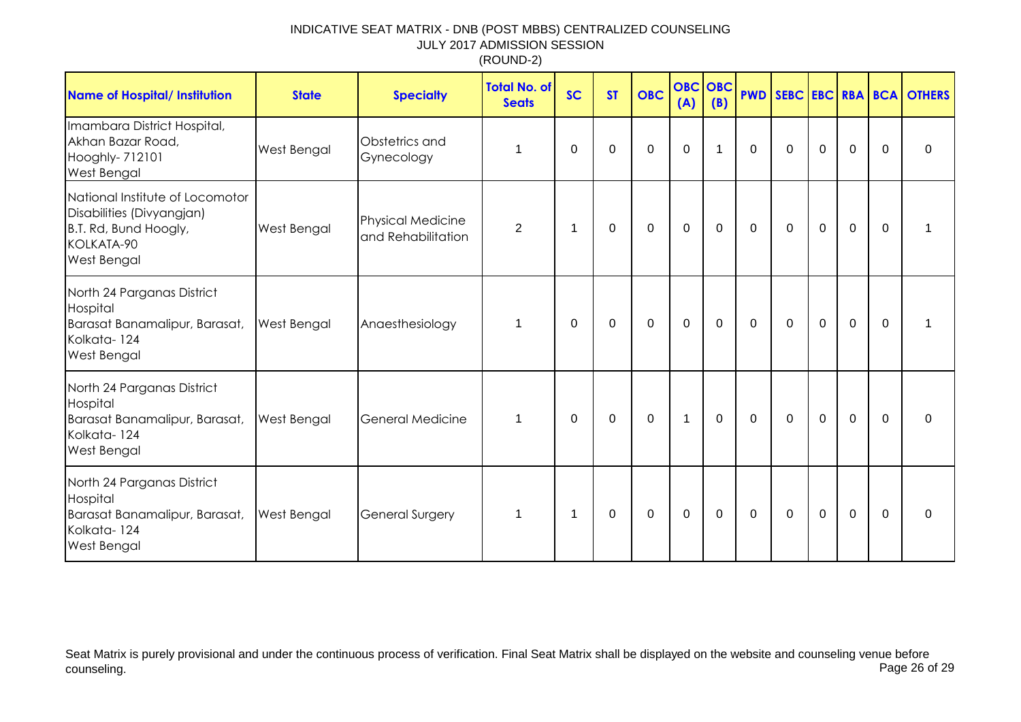| <b>Name of Hospital/ Institution</b>                                                                               | <b>State</b>       | <b>Specialty</b>                               | <b>Total No. of</b><br><b>Seats</b> | <b>SC</b>   | <b>ST</b>   | <b>OBC</b>  | <b>OBC</b> OBC<br>(A) | (B)         |             |              |             |             |             | <b>PWD SEBC EBC RBA BCA OTHERS</b> |
|--------------------------------------------------------------------------------------------------------------------|--------------------|------------------------------------------------|-------------------------------------|-------------|-------------|-------------|-----------------------|-------------|-------------|--------------|-------------|-------------|-------------|------------------------------------|
| Imambara District Hospital,<br>Akhan Bazar Road,<br>Hooghly- 712101<br><b>West Bengal</b>                          | West Bengal        | Obstetrics and<br>Gynecology                   | 1                                   | 0           | $\mathbf 0$ | $\mathbf 0$ | $\mathbf 0$           | $\mathbf 1$ | $\mathbf 0$ | $\mathbf 0$  | $\mathbf 0$ | $\mathbf 0$ | $\mathbf 0$ | $\mathbf 0$                        |
| National Institute of Locomotor<br>Disabilities (Divyangjan)<br>B.T. Rd, Bund Hoogly,<br>KOLKATA-90<br>West Bengal | <b>West Bengal</b> | <b>Physical Medicine</b><br>and Rehabilitation | $\overline{2}$                      | -1          | 0           | $\mathbf 0$ | $\mathbf 0$           | 0           | 0           | 0            | $\mathbf 0$ | $\mathbf 0$ | $\Omega$    |                                    |
| North 24 Parganas District<br>Hospital<br>Barasat Banamalipur, Barasat,<br>Kolkata-124<br><b>West Bengal</b>       | <b>West Bengal</b> | Anaesthesiology                                | $\mathbf 1$                         | 0           | 0           | $\mathbf 0$ | $\mathbf 0$           | $\mathbf 0$ | 0           | $\mathbf{0}$ | $\mathbf 0$ | $\mathbf 0$ | $\Omega$    |                                    |
| North 24 Parganas District<br>Hospital<br>Barasat Banamalipur, Barasat,<br>Kolkata-124<br><b>West Bengal</b>       | <b>West Bengal</b> | <b>General Medicine</b>                        | 1                                   | 0           | 0           | $\mathbf 0$ | $\mathbf{1}$          | 0           | 0           | $\Omega$     | $\mathbf 0$ | $\mathbf 0$ | $\Omega$    | $\Omega$                           |
| North 24 Parganas District<br>Hospital<br>Barasat Banamalipur, Barasat,<br>Kolkata-124<br><b>West Bengal</b>       | <b>West Bengal</b> | <b>General Surgery</b>                         | 1                                   | $\mathbf 1$ | $\pmb{0}$   | $\mathsf 0$ | $\pmb{0}$             | $\mathbf 0$ | $\mathbf 0$ | 0            | $\mathbf 0$ | $\mathbf 0$ | $\Omega$    | 0                                  |

Seat Matrix is purely provisional and under the continuous process of verification. Final Seat Matrix shall be displayed on the website and counseling venue before<br>Page 26 of 29 counseling. Page 26 of 29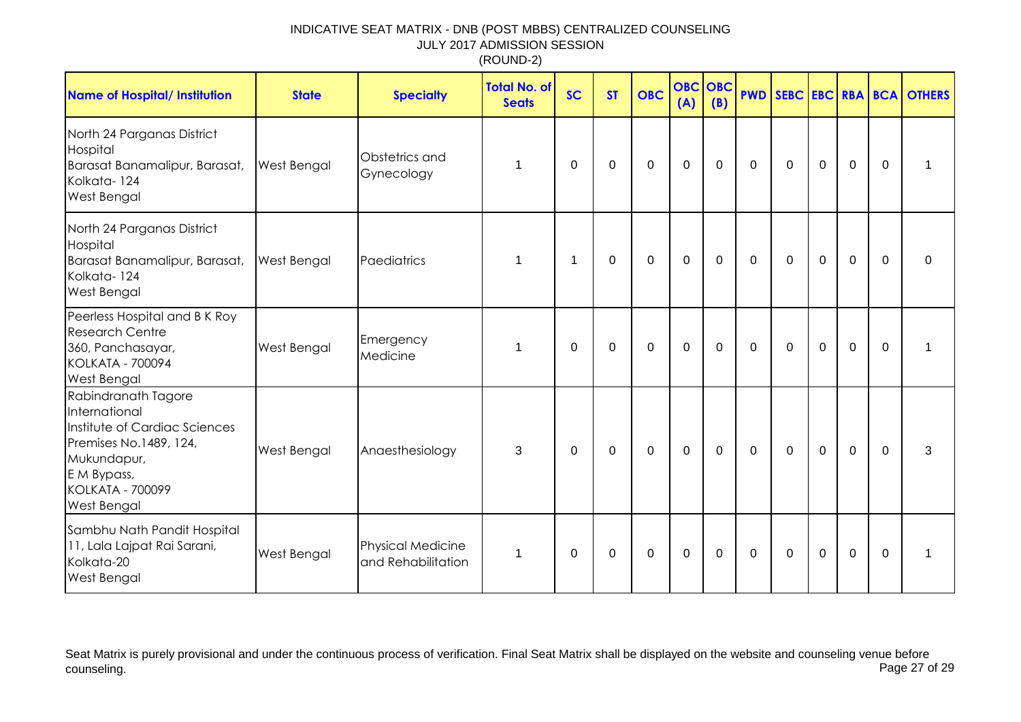| <b>Name of Hospital/ Institution</b>                                                                                                                                    | <b>State</b> | <b>Specialty</b>                               | <b>Total No. of</b><br><b>Seats</b> | <b>SC</b>   | <b>ST</b>   | <b>OBC</b>  | <b>OBC</b><br>(A) | <b>OBC</b><br>(B) |             |              |                  |             |             | <b>PWD SEBC EBC RBA BCA OTHERS</b> |
|-------------------------------------------------------------------------------------------------------------------------------------------------------------------------|--------------|------------------------------------------------|-------------------------------------|-------------|-------------|-------------|-------------------|-------------------|-------------|--------------|------------------|-------------|-------------|------------------------------------|
| North 24 Parganas District<br>Hospital<br>Barasat Banamalipur, Barasat,<br>Kolkata-124<br>West Bengal                                                                   | West Bengal  | Obstetrics and<br>Gynecology                   | 1                                   | 0           | 0           | $\pmb{0}$   | $\pmb{0}$         | $\mathbf 0$       | $\mathbf 0$ | $\mathbf 0$  | $\boldsymbol{0}$ | $\mathbf 0$ | $\mathbf 0$ |                                    |
| North 24 Parganas District<br>Hospital<br>Barasat Banamalipur, Barasat,<br>Kolkata-124<br><b>West Bengal</b>                                                            | West Bengal  | Paediatrics                                    | 1                                   | -1          | 0           | $\mathbf 0$ | $\mathbf 0$       | $\mathbf 0$       | $\mathbf 0$ | $\mathbf 0$  | $\mathbf 0$      | $\mathbf 0$ | $\Omega$    | $\mathbf 0$                        |
| Peerless Hospital and B K Roy<br><b>Research Centre</b><br>360, Panchasayar,<br><b>KOLKATA - 700094</b><br><b>West Bengal</b>                                           | West Bengal  | Emergency<br>Medicine                          | 1                                   | $\mathbf 0$ | $\mathbf 0$ | $\mathbf 0$ | $\mathbf 0$       | 0                 | $\mathbf 0$ | $\mathbf 0$  | $\mathbf 0$      | $\mathbf 0$ | $\mathbf 0$ |                                    |
| Rabindranath Tagore<br>International<br>Institute of Cardiac Sciences<br>Premises No.1489, 124,<br>Mukundapur,<br>E M Bypass,<br><b>KOLKATA - 700099</b><br>West Bengal | West Bengal  | Anaesthesiology                                | 3                                   | $\Omega$    | $\Omega$    | $\mathbf 0$ | $\mathbf 0$       | 0                 | $\mathbf 0$ | $\mathbf{0}$ | $\overline{0}$   | $\mathbf 0$ | $\Omega$    | 3                                  |
| Sambhu Nath Pandit Hospital<br>11, Lala Lajpat Rai Sarani,<br>Kolkata-20<br><b>West Bengal</b>                                                                          | West Bengal  | <b>Physical Medicine</b><br>and Rehabilitation | 1                                   | $\mathbf 0$ | 0           | 0           | $\boldsymbol{0}$  | 0                 | 0           | 0            | $\mathbf 0$      | $\mathbf 0$ | $\Omega$    | 1                                  |

Seat Matrix is purely provisional and under the continuous process of verification. Final Seat Matrix shall be displayed on the website and counseling venue before<br>Page 27 of 29 counseling. Page 27 of 29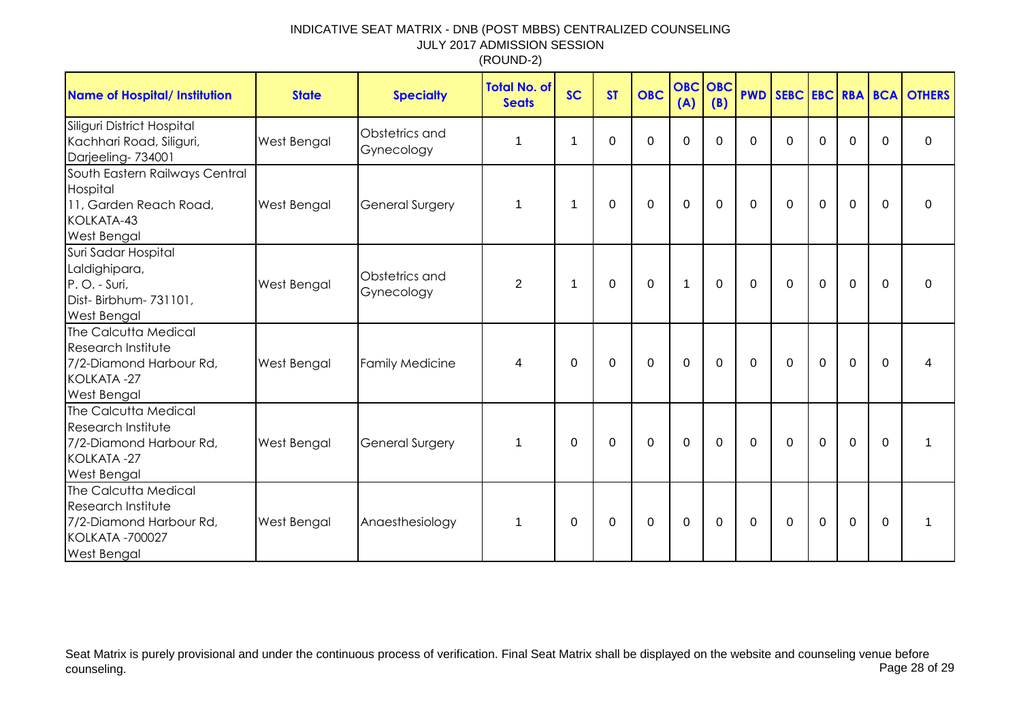| Name of Hospital/ Institution                                                                                         | <b>State</b> | <b>Specialty</b>             | <b>Total No. of</b><br><b>Seats</b> | <b>SC</b>   | <b>ST</b> | <b>OBC</b>  | (A)            | <b>OBC OBC</b><br>(B) |              |              |             |             |             | <b>PWD SEBC EBC RBA BCA OTHERS</b> |
|-----------------------------------------------------------------------------------------------------------------------|--------------|------------------------------|-------------------------------------|-------------|-----------|-------------|----------------|-----------------------|--------------|--------------|-------------|-------------|-------------|------------------------------------|
| Siliguri District Hospital<br>Kachhari Road, Siliguri,<br>Darjeeling-734001                                           | West Bengal  | Obstetrics and<br>Gynecology | 1                                   | $\mathbf 1$ | $\Omega$  | $\Omega$    | $\mathbf 0$    | $\Omega$              | $\Omega$     | $\Omega$     | $\Omega$    | $\mathbf 0$ | $\Omega$    | $\mathbf 0$                        |
| South Eastern Railways Central<br>Hospital<br>11, Garden Reach Road,<br>KOLKATA-43<br><b>West Bengal</b>              | West Bengal  | <b>General Surgery</b>       | 1                                   | $\mathbf 1$ | $\Omega$  | $\mathbf 0$ | $\mathbf 0$    | $\mathbf 0$           | $\mathbf{0}$ | $\mathbf 0$  | $\mathbf 0$ | $\mathbf 0$ | $\Omega$    | 0                                  |
| Suri Sadar Hospital<br>Laldighipara,<br>P.O. - Suri,<br>Dist-Birbhum-731101,<br><b>West Bengal</b>                    | West Bengal  | Obstetrics and<br>Gynecology | $\overline{2}$                      | $\mathbf 1$ | $\Omega$  | $\mathbf 0$ | $\mathbf{1}$   | $\Omega$              | $\mathbf{0}$ | $\mathbf{0}$ | $\mathbf 0$ | $\mathbf 0$ | $\mathbf 0$ | $\Omega$                           |
| The Calcutta Medical<br><b>Research Institute</b><br>7/2-Diamond Harbour Rd,<br>KOLKATA-27<br><b>West Bengal</b>      | West Bengal  | <b>Family Medicine</b>       | 4                                   | $\Omega$    | $\Omega$  | $\mathbf 0$ | $\mathbf 0$    | $\Omega$              | $\mathbf{0}$ | $\mathbf{0}$ | $\mathbf 0$ | $\mathbf 0$ | $\Omega$    | 4                                  |
| The Calcutta Medical<br>Research Institute<br>7/2-Diamond Harbour Rd,<br>KOLKATA-27<br><b>West Bengal</b>             | West Bengal  | <b>General Surgery</b>       | 1                                   | $\Omega$    | 0         | $\Omega$    | $\overline{0}$ | $\Omega$              | $\mathbf{0}$ | $\mathbf{0}$ | $\mathbf 0$ | $\mathbf 0$ | 0           | 1                                  |
| The Calcutta Medical<br>Research Institute<br>7/2-Diamond Harbour Rd,<br><b>KOLKATA -700027</b><br><b>West Bengal</b> | West Bengal  | Anaesthesiology              | 1                                   | $\Omega$    | 0         | 0           | $\mathbf 0$    | $\Omega$              | $\mathbf{0}$ | $\mathbf{0}$ | $\mathbf 0$ | $\mathbf 0$ | 0           | 1                                  |

Seat Matrix is purely provisional and under the continuous process of verification. Final Seat Matrix shall be displayed on the website and counseling venue before<br>Page 28 of 29 counseling. Page 28 of 29